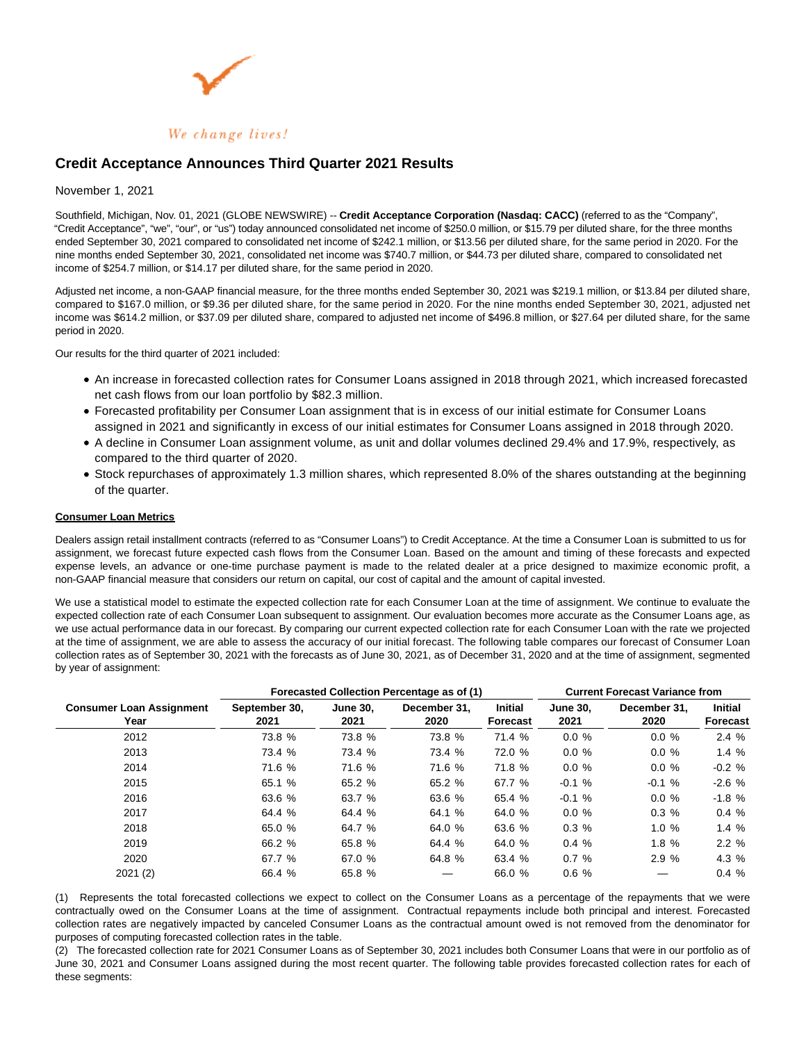

# **Credit Acceptance Announces Third Quarter 2021 Results**

#### November 1, 2021

Southfield, Michigan, Nov. 01, 2021 (GLOBE NEWSWIRE) -- **Credit Acceptance Corporation (Nasdaq: CACC)** (referred to as the "Company", "Credit Acceptance", "we", "our", or "us") today announced consolidated net income of \$250.0 million, or \$15.79 per diluted share, for the three months ended September 30, 2021 compared to consolidated net income of \$242.1 million, or \$13.56 per diluted share, for the same period in 2020. For the nine months ended September 30, 2021, consolidated net income was \$740.7 million, or \$44.73 per diluted share, compared to consolidated net income of \$254.7 million, or \$14.17 per diluted share, for the same period in 2020.

Adjusted net income, a non-GAAP financial measure, for the three months ended September 30, 2021 was \$219.1 million, or \$13.84 per diluted share, compared to \$167.0 million, or \$9.36 per diluted share, for the same period in 2020. For the nine months ended September 30, 2021, adjusted net income was \$614.2 million, or \$37.09 per diluted share, compared to adjusted net income of \$496.8 million, or \$27.64 per diluted share, for the same period in 2020.

Our results for the third quarter of 2021 included:

- An increase in forecasted collection rates for Consumer Loans assigned in 2018 through 2021, which increased forecasted net cash flows from our loan portfolio by \$82.3 million.
- Forecasted profitability per Consumer Loan assignment that is in excess of our initial estimate for Consumer Loans assigned in 2021 and significantly in excess of our initial estimates for Consumer Loans assigned in 2018 through 2020.
- A decline in Consumer Loan assignment volume, as unit and dollar volumes declined 29.4% and 17.9%, respectively, as compared to the third quarter of 2020.
- Stock repurchases of approximately 1.3 million shares, which represented 8.0% of the shares outstanding at the beginning of the quarter.

#### **Consumer Loan Metrics**

Dealers assign retail installment contracts (referred to as "Consumer Loans") to Credit Acceptance. At the time a Consumer Loan is submitted to us for assignment, we forecast future expected cash flows from the Consumer Loan. Based on the amount and timing of these forecasts and expected expense levels, an advance or one-time purchase payment is made to the related dealer at a price designed to maximize economic profit, a non-GAAP financial measure that considers our return on capital, our cost of capital and the amount of capital invested.

We use a statistical model to estimate the expected collection rate for each Consumer Loan at the time of assignment. We continue to evaluate the expected collection rate of each Consumer Loan subsequent to assignment. Our evaluation becomes more accurate as the Consumer Loans age, as we use actual performance data in our forecast. By comparing our current expected collection rate for each Consumer Loan with the rate we projected at the time of assignment, we are able to assess the accuracy of our initial forecast. The following table compares our forecast of Consumer Loan collection rates as of September 30, 2021 with the forecasts as of June 30, 2021, as of December 31, 2020 and at the time of assignment, segmented by year of assignment:

|                                         |                       | <b>Forecasted Collection Percentage as of (1)</b> | <b>Current Forecast Variance from</b> |                            |                         |                      |                            |
|-----------------------------------------|-----------------------|---------------------------------------------------|---------------------------------------|----------------------------|-------------------------|----------------------|----------------------------|
| <b>Consumer Loan Assignment</b><br>Year | September 30,<br>2021 | <b>June 30.</b><br>2021                           | December 31.<br>2020                  | <b>Initial</b><br>Forecast | <b>June 30.</b><br>2021 | December 31,<br>2020 | <b>Initial</b><br>Forecast |
| 2012                                    | 73.8 %                | 73.8 %                                            | 73.8 %                                | 71.4 %                     | $0.0 \%$                | $0.0 \%$             | 2.4%                       |
| 2013                                    | 73.4 %                | 73.4 %                                            | 73.4 %                                | 72.0 %                     | $0.0 \%$                | $0.0 \%$             | 1.4%                       |
| 2014                                    | 71.6 %                | 71.6 %                                            | 71.6 %                                | 71.8 %                     | $0.0 \%$                | $0.0 \%$             | $-0.2 \%$                  |
| 2015                                    | 65.1 %                | 65.2 %                                            | 65.2 %                                | 67.7 %                     | $-0.1%$                 | $-0.1%$              | $-2.6%$                    |
| 2016                                    | 63.6 %                | 63.7 %                                            | 63.6 %                                | 65.4 %                     | $-0.1%$                 | $0.0 \%$             | $-1.8 \%$                  |
| 2017                                    | 64.4 %                | 64.4 %                                            | 64.1 %                                | 64.0 %                     | $0.0 \%$                | 0.3%                 | $0.4 \%$                   |
| 2018                                    | 65.0 %                | 64.7 %                                            | 64.0 %                                | 63.6 %                     | $0.3 \%$                | 1.0%                 | 1.4%                       |
| 2019                                    | 66.2 %                | 65.8 %                                            | 64.4 %                                | 64.0 %                     | $0.4 \%$                | $1.8 \%$             | 2.2%                       |
| 2020                                    | 67.7 %                | 67.0 %                                            | 64.8 %                                | 63.4 %                     | 0.7%                    | 2.9%                 | 4.3 %                      |
| 2021(2)                                 | 66.4 %                | 65.8 %                                            |                                       | 66.0 %                     | 0.6%                    |                      | 0.4%                       |

(1) Represents the total forecasted collections we expect to collect on the Consumer Loans as a percentage of the repayments that we were contractually owed on the Consumer Loans at the time of assignment. Contractual repayments include both principal and interest. Forecasted collection rates are negatively impacted by canceled Consumer Loans as the contractual amount owed is not removed from the denominator for purposes of computing forecasted collection rates in the table.

(2) The forecasted collection rate for 2021 Consumer Loans as of September 30, 2021 includes both Consumer Loans that were in our portfolio as of June 30, 2021 and Consumer Loans assigned during the most recent quarter. The following table provides forecasted collection rates for each of these segments: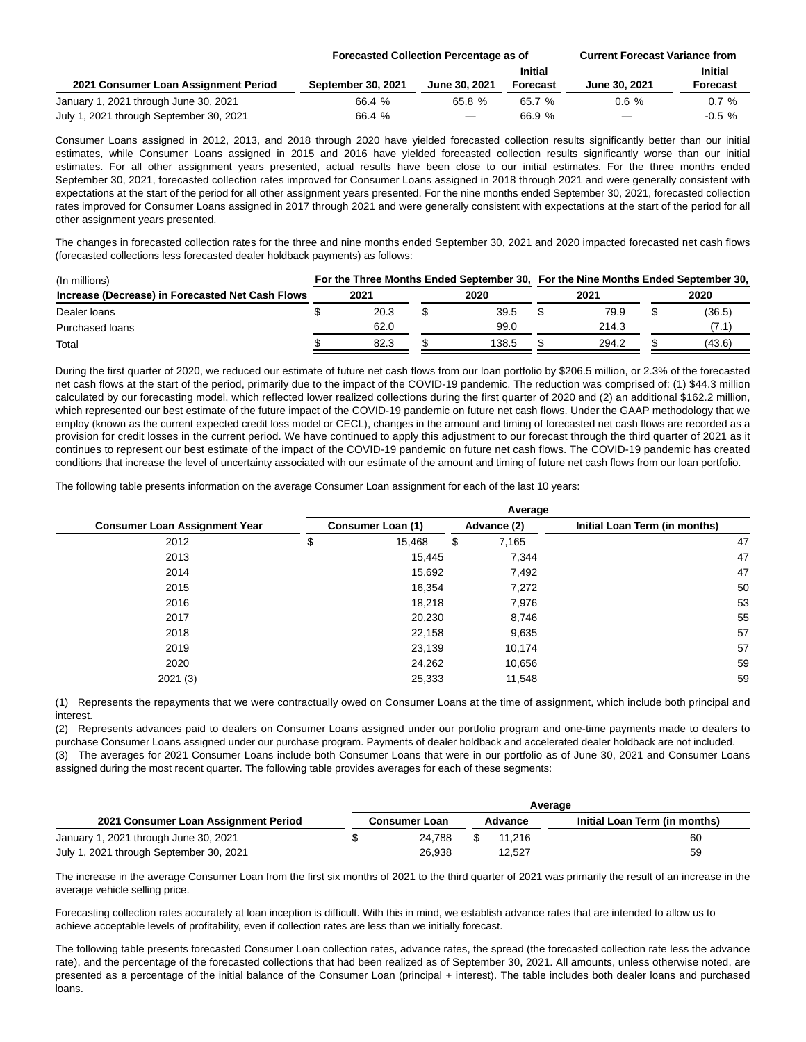|                                         | <b>Forecasted Collection Percentage as of</b> |               | <b>Current Forecast Variance from</b> |                                 |                |
|-----------------------------------------|-----------------------------------------------|---------------|---------------------------------------|---------------------------------|----------------|
|                                         |                                               |               | <b>Initial</b>                        |                                 | <b>Initial</b> |
| 2021 Consumer Loan Assignment Period    | September 30, 2021                            | June 30, 2021 | <b>Forecast</b>                       | June 30, 2021                   | Forecast       |
| January 1, 2021 through June 30, 2021   | 66.4 %                                        | 65.8 %        | 65.7 %                                | 0.6%                            | $0.7 \%$       |
| July 1, 2021 through September 30, 2021 | 66.4 %                                        |               | 66.9 %                                | $\hspace{0.1mm}-\hspace{0.1mm}$ | $-0.5 \%$      |

Consumer Loans assigned in 2012, 2013, and 2018 through 2020 have yielded forecasted collection results significantly better than our initial estimates, while Consumer Loans assigned in 2015 and 2016 have yielded forecasted collection results significantly worse than our initial estimates. For all other assignment years presented, actual results have been close to our initial estimates. For the three months ended September 30, 2021, forecasted collection rates improved for Consumer Loans assigned in 2018 through 2021 and were generally consistent with expectations at the start of the period for all other assignment years presented. For the nine months ended September 30, 2021, forecasted collection rates improved for Consumer Loans assigned in 2017 through 2021 and were generally consistent with expectations at the start of the period for all other assignment years presented.

The changes in forecasted collection rates for the three and nine months ended September 30, 2021 and 2020 impacted forecasted net cash flows (forecasted collections less forecasted dealer holdback payments) as follows:

| (In millions)                                    | For the Three Months Ended September 30, For the Nine Months Ended September 30, |      |      |       |      |       |      |        |
|--------------------------------------------------|----------------------------------------------------------------------------------|------|------|-------|------|-------|------|--------|
| Increase (Decrease) in Forecasted Net Cash Flows | 2021                                                                             |      | 2020 |       | 2021 |       | 2020 |        |
| Dealer loans                                     |                                                                                  | 20.3 |      | 39.5  |      | 79.9  |      | (36.5) |
| Purchased loans                                  |                                                                                  | 62.0 |      | 99.0  |      | 214.3 |      | (7.1)  |
| Total                                            |                                                                                  | 82.3 |      | 138.5 |      | 294.2 |      | (43.6) |

During the first quarter of 2020, we reduced our estimate of future net cash flows from our loan portfolio by \$206.5 million, or 2.3% of the forecasted net cash flows at the start of the period, primarily due to the impact of the COVID-19 pandemic. The reduction was comprised of: (1) \$44.3 million calculated by our forecasting model, which reflected lower realized collections during the first quarter of 2020 and (2) an additional \$162.2 million, which represented our best estimate of the future impact of the COVID-19 pandemic on future net cash flows. Under the GAAP methodology that we employ (known as the current expected credit loss model or CECL), changes in the amount and timing of forecasted net cash flows are recorded as a provision for credit losses in the current period. We have continued to apply this adjustment to our forecast through the third quarter of 2021 as it continues to represent our best estimate of the impact of the COVID-19 pandemic on future net cash flows. The COVID-19 pandemic has created conditions that increase the level of uncertainty associated with our estimate of the amount and timing of future net cash flows from our loan portfolio.

The following table presents information on the average Consumer Loan assignment for each of the last 10 years:

|                                      | Average |                   |    |             |                               |    |  |
|--------------------------------------|---------|-------------------|----|-------------|-------------------------------|----|--|
| <b>Consumer Loan Assignment Year</b> |         | Consumer Loan (1) |    | Advance (2) | Initial Loan Term (in months) |    |  |
| 2012                                 | Φ       | 15,468            | \$ | 7,165       |                               | 47 |  |
| 2013                                 |         | 15,445            |    | 7,344       |                               | 47 |  |
| 2014                                 |         | 15,692            |    | 7,492       |                               | 47 |  |
| 2015                                 |         | 16,354            |    | 7,272       |                               | 50 |  |
| 2016                                 |         | 18,218            |    | 7,976       |                               | 53 |  |
| 2017                                 |         | 20,230            |    | 8,746       |                               | 55 |  |
| 2018                                 |         | 22,158            |    | 9,635       |                               | 57 |  |
| 2019                                 |         | 23,139            |    | 10.174      |                               | 57 |  |
| 2020                                 |         | 24,262            |    | 10,656      |                               | 59 |  |
| 2021(3)                              |         | 25,333            |    | 11,548      |                               | 59 |  |
|                                      |         |                   |    |             |                               |    |  |

(1) Represents the repayments that we were contractually owed on Consumer Loans at the time of assignment, which include both principal and interest.

(2) Represents advances paid to dealers on Consumer Loans assigned under our portfolio program and one-time payments made to dealers to purchase Consumer Loans assigned under our purchase program. Payments of dealer holdback and accelerated dealer holdback are not included. (3) The averages for 2021 Consumer Loans include both Consumer Loans that were in our portfolio as of June 30, 2021 and Consumer Loans assigned during the most recent quarter. The following table provides averages for each of these segments:

|                                         | Average              |        |  |         |                               |  |  |  |
|-----------------------------------------|----------------------|--------|--|---------|-------------------------------|--|--|--|
| 2021 Consumer Loan Assignment Period    | <b>Consumer Loan</b> |        |  | Advance | Initial Loan Term (in months) |  |  |  |
| January 1, 2021 through June 30, 2021   |                      | 24.788 |  | 11.216  | 60                            |  |  |  |
| July 1, 2021 through September 30, 2021 |                      | 26,938 |  | 12.527  | 59                            |  |  |  |

The increase in the average Consumer Loan from the first six months of 2021 to the third quarter of 2021 was primarily the result of an increase in the average vehicle selling price.

Forecasting collection rates accurately at loan inception is difficult. With this in mind, we establish advance rates that are intended to allow us to achieve acceptable levels of profitability, even if collection rates are less than we initially forecast.

The following table presents forecasted Consumer Loan collection rates, advance rates, the spread (the forecasted collection rate less the advance rate), and the percentage of the forecasted collections that had been realized as of September 30, 2021. All amounts, unless otherwise noted, are presented as a percentage of the initial balance of the Consumer Loan (principal + interest). The table includes both dealer loans and purchased loans.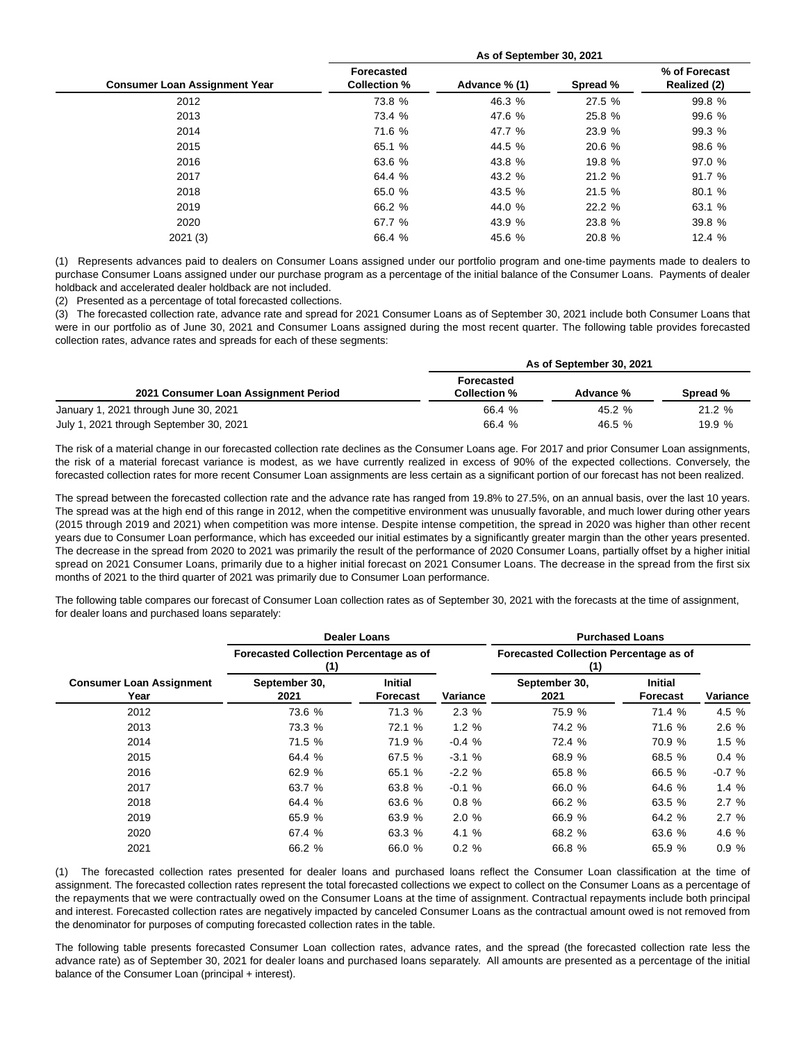|                                      | $1.0$ $\sigma$ . $\sigma$ , $\sigma$ , $\sigma$ , $\sigma$ , $\sigma$ , $\sigma$ , $\sigma$ , $\sigma$ , $\sigma$ |               |          |                               |  |  |  |  |
|--------------------------------------|-------------------------------------------------------------------------------------------------------------------|---------------|----------|-------------------------------|--|--|--|--|
| <b>Consumer Loan Assignment Year</b> | Forecasted<br><b>Collection %</b>                                                                                 | Advance % (1) | Spread % | % of Forecast<br>Realized (2) |  |  |  |  |
| 2012                                 | 73.8 %                                                                                                            | 46.3 %        | 27.5 %   | 99.8 %                        |  |  |  |  |
| 2013                                 | 73.4 %                                                                                                            | 47.6 %        | 25.8 %   | 99.6 %                        |  |  |  |  |
| 2014                                 | 71.6 %                                                                                                            | 47.7 %        | 23.9 %   | 99.3 %                        |  |  |  |  |
| 2015                                 | 65.1 %                                                                                                            | 44.5 %        | 20.6 %   | 98.6 %                        |  |  |  |  |
| 2016                                 | 63.6 %                                                                                                            | 43.8 %        | 19.8 %   | 97.0%                         |  |  |  |  |
| 2017                                 | 64.4 %                                                                                                            | 43.2 %        | 21.2 %   | 91.7%                         |  |  |  |  |
| 2018                                 | 65.0 %                                                                                                            | 43.5 %        | 21.5 %   | 80.1 %                        |  |  |  |  |
| 2019                                 | 66.2 %                                                                                                            | 44.0 %        | 22.2 %   | 63.1 %                        |  |  |  |  |
| 2020                                 | 67.7 %                                                                                                            | 43.9 %        | 23.8 %   | 39.8 %                        |  |  |  |  |
| 2021(3)                              | 66.4 %                                                                                                            | 45.6 %        | 20.8 %   | 12.4 %                        |  |  |  |  |

**As of September 30, 2021**

(1) Represents advances paid to dealers on Consumer Loans assigned under our portfolio program and one-time payments made to dealers to purchase Consumer Loans assigned under our purchase program as a percentage of the initial balance of the Consumer Loans. Payments of dealer holdback and accelerated dealer holdback are not included.

(2) Presented as a percentage of total forecasted collections.

(3) The forecasted collection rate, advance rate and spread for 2021 Consumer Loans as of September 30, 2021 include both Consumer Loans that were in our portfolio as of June 30, 2021 and Consumer Loans assigned during the most recent quarter. The following table provides forecasted collection rates, advance rates and spreads for each of these segments:

|                                         | As of September 30, 2021          |           |          |  |  |
|-----------------------------------------|-----------------------------------|-----------|----------|--|--|
| 2021 Consumer Loan Assignment Period    | Forecasted<br><b>Collection %</b> | Advance % | Spread % |  |  |
| January 1, 2021 through June 30, 2021   | 66.4 %                            | 45.2 %    | 21.2%    |  |  |
| July 1, 2021 through September 30, 2021 | 66.4 %                            | $46.5 \%$ | 19.9%    |  |  |

The risk of a material change in our forecasted collection rate declines as the Consumer Loans age. For 2017 and prior Consumer Loan assignments, the risk of a material forecast variance is modest, as we have currently realized in excess of 90% of the expected collections. Conversely, the forecasted collection rates for more recent Consumer Loan assignments are less certain as a significant portion of our forecast has not been realized.

The spread between the forecasted collection rate and the advance rate has ranged from 19.8% to 27.5%, on an annual basis, over the last 10 years. The spread was at the high end of this range in 2012, when the competitive environment was unusually favorable, and much lower during other years (2015 through 2019 and 2021) when competition was more intense. Despite intense competition, the spread in 2020 was higher than other recent years due to Consumer Loan performance, which has exceeded our initial estimates by a significantly greater margin than the other years presented. The decrease in the spread from 2020 to 2021 was primarily the result of the performance of 2020 Consumer Loans, partially offset by a higher initial spread on 2021 Consumer Loans, primarily due to a higher initial forecast on 2021 Consumer Loans. The decrease in the spread from the first six months of 2021 to the third quarter of 2021 was primarily due to Consumer Loan performance.

The following table compares our forecast of Consumer Loan collection rates as of September 30, 2021 with the forecasts at the time of assignment, for dealer loans and purchased loans separately:

|                                         |                                                      | <b>Dealer Loans</b>        | <b>Purchased Loans</b> |                                                      |                            |          |
|-----------------------------------------|------------------------------------------------------|----------------------------|------------------------|------------------------------------------------------|----------------------------|----------|
|                                         | <b>Forecasted Collection Percentage as of</b><br>(1) |                            |                        | <b>Forecasted Collection Percentage as of</b><br>(1) |                            |          |
| <b>Consumer Loan Assignment</b><br>Year | September 30,<br>2021                                | <b>Initial</b><br>Forecast | Variance               | September 30,<br>2021                                | <b>Initial</b><br>Forecast | Variance |
| 2012                                    | 73.6 %                                               | 71.3 %                     | 2.3%                   | 75.9 %                                               | 71.4 %                     | 4.5 %    |
| 2013                                    | 73.3 %                                               | 72.1 %                     | 1.2%                   | 74.2 %                                               | 71.6 %                     | 2.6%     |
| 2014                                    | 71.5 %                                               | 71.9 %                     | $-0.4%$                | 72.4 %                                               | 70.9 %                     | 1.5%     |
| 2015                                    | 64.4 %                                               | 67.5 %                     | $-3.1%$                | 68.9 %                                               | 68.5 %                     | 0.4%     |
| 2016                                    | 62.9 %                                               | 65.1 %                     | $-2.2%$                | 65.8 %                                               | 66.5 %                     | $-0.7%$  |
| 2017                                    | 63.7 %                                               | 63.8 %                     | $-0.1%$                | 66.0 %                                               | 64.6 %                     | 1.4%     |
| 2018                                    | 64.4 %                                               | 63.6 %                     | 0.8%                   | 66.2 %                                               | 63.5 %                     | 2.7%     |
| 2019                                    | 65.9 %                                               | 63.9 %                     | 2.0%                   | 66.9 %                                               | 64.2 %                     | 2.7%     |
| 2020                                    | 67.4 %                                               | 63.3 %                     | 4.1 %                  | 68.2 %                                               | 63.6 %                     | 4.6 %    |
| 2021                                    | 66.2 %                                               | 66.0 %                     | 0.2%                   | 66.8 %                                               | 65.9 %                     | 0.9%     |

(1) The forecasted collection rates presented for dealer loans and purchased loans reflect the Consumer Loan classification at the time of assignment. The forecasted collection rates represent the total forecasted collections we expect to collect on the Consumer Loans as a percentage of the repayments that we were contractually owed on the Consumer Loans at the time of assignment. Contractual repayments include both principal and interest. Forecasted collection rates are negatively impacted by canceled Consumer Loans as the contractual amount owed is not removed from the denominator for purposes of computing forecasted collection rates in the table.

The following table presents forecasted Consumer Loan collection rates, advance rates, and the spread (the forecasted collection rate less the advance rate) as of September 30, 2021 for dealer loans and purchased loans separately. All amounts are presented as a percentage of the initial balance of the Consumer Loan (principal + interest).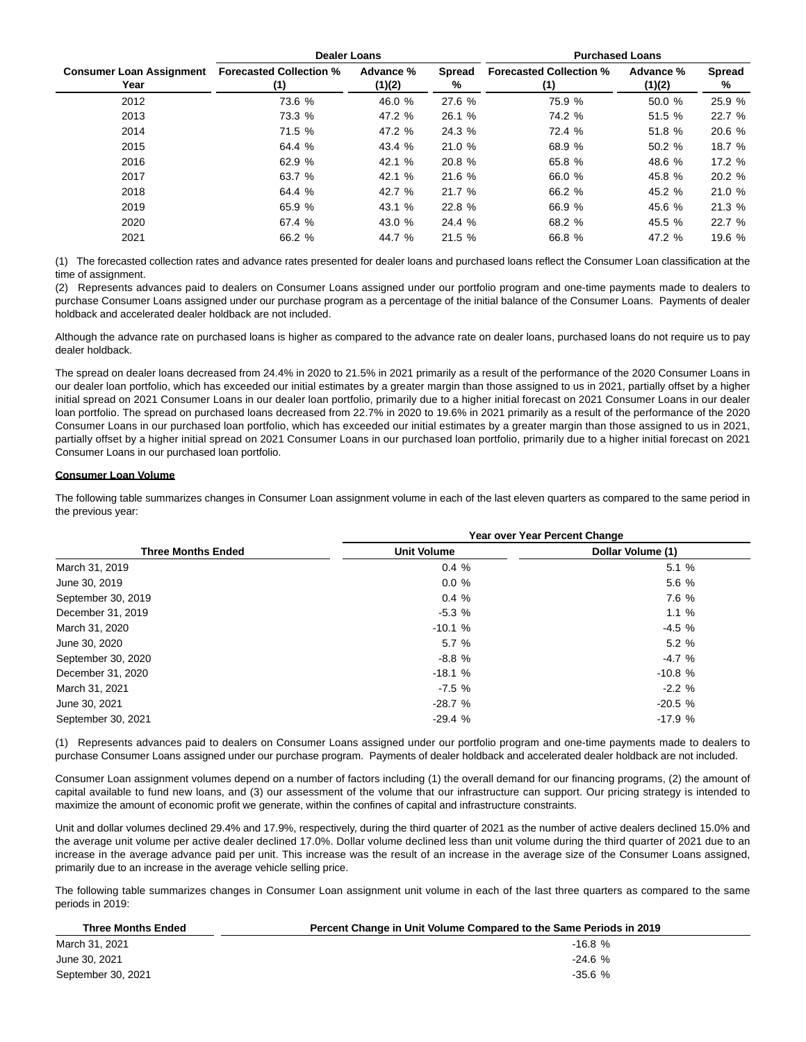|                                         | <b>Dealer Loans</b>                   |                     |             | <b>Purchased Loans</b>                |                     |                    |  |
|-----------------------------------------|---------------------------------------|---------------------|-------------|---------------------------------------|---------------------|--------------------|--|
| <b>Consumer Loan Assignment</b><br>Year | <b>Forecasted Collection %</b><br>(1) | Advance %<br>(1)(2) | Spread<br>% | <b>Forecasted Collection %</b><br>(1) | Advance %<br>(1)(2) | <b>Spread</b><br>% |  |
| 2012                                    | 73.6 %                                | 46.0 %              | 27.6 %      | 75.9 %                                | 50.0 %              | 25.9 %             |  |
| 2013                                    | 73.3 %                                | 47.2 %              | 26.1 %      | 74.2 %                                | 51.5 %              | 22.7%              |  |
| 2014                                    | 71.5 %                                | 47.2 %              | 24.3 %      | 72.4 %                                | 51.8 %              | 20.6 %             |  |
| 2015                                    | 64.4 %                                | 43.4 %              | 21.0%       | 68.9 %                                | 50.2 %              | 18.7 %             |  |
| 2016                                    | 62.9 %                                | 42.1 %              | 20.8 %      | 65.8 %                                | 48.6 %              | 17.2%              |  |
| 2017                                    | 63.7 %                                | 42.1 %              | 21.6 %      | 66.0 %                                | 45.8 %              | 20.2%              |  |
| 2018                                    | 64.4 %                                | 42.7 %              | 21.7%       | 66.2 %                                | 45.2 %              | 21.0 %             |  |
| 2019                                    | 65.9 %                                | 43.1 %              | 22.8 %      | 66.9 %                                | 45.6 %              | 21.3%              |  |
| 2020                                    | 67.4 %                                | 43.0 %              | 24.4 %      | 68.2 %                                | 45.5 %              | 22.7 %             |  |
| 2021                                    | 66.2 %                                | 44.7 %              | 21.5 %      | 66.8 %                                | 47.2 %              | 19.6 %             |  |

(1) The forecasted collection rates and advance rates presented for dealer loans and purchased loans reflect the Consumer Loan classification at the time of assignment.

(2) Represents advances paid to dealers on Consumer Loans assigned under our portfolio program and one-time payments made to dealers to purchase Consumer Loans assigned under our purchase program as a percentage of the initial balance of the Consumer Loans. Payments of dealer holdback and accelerated dealer holdback are not included.

Although the advance rate on purchased loans is higher as compared to the advance rate on dealer loans, purchased loans do not require us to pay dealer holdback.

The spread on dealer loans decreased from 24.4% in 2020 to 21.5% in 2021 primarily as a result of the performance of the 2020 Consumer Loans in our dealer loan portfolio, which has exceeded our initial estimates by a greater margin than those assigned to us in 2021, partially offset by a higher initial spread on 2021 Consumer Loans in our dealer loan portfolio, primarily due to a higher initial forecast on 2021 Consumer Loans in our dealer loan portfolio. The spread on purchased loans decreased from 22.7% in 2020 to 19.6% in 2021 primarily as a result of the performance of the 2020 Consumer Loans in our purchased loan portfolio, which has exceeded our initial estimates by a greater margin than those assigned to us in 2021, partially offset by a higher initial spread on 2021 Consumer Loans in our purchased loan portfolio, primarily due to a higher initial forecast on 2021 Consumer Loans in our purchased loan portfolio.

## **Consumer Loan Volume**

The following table summarizes changes in Consumer Loan assignment volume in each of the last eleven quarters as compared to the same period in the previous year:

|                           | Year over Year Percent Change |                   |  |  |  |
|---------------------------|-------------------------------|-------------------|--|--|--|
| <b>Three Months Ended</b> | <b>Unit Volume</b>            | Dollar Volume (1) |  |  |  |
| March 31, 2019            | 0.4%                          | 5.1%              |  |  |  |
| June 30, 2019             | $0.0 \%$                      | 5.6 %             |  |  |  |
| September 30, 2019        | 0.4%                          | 7.6 %             |  |  |  |
| December 31, 2019         | $-5.3%$                       | 1.1%              |  |  |  |
| March 31, 2020            | $-10.1%$                      | $-4.5%$           |  |  |  |
| June 30, 2020             | 5.7%                          | 5.2%              |  |  |  |
| September 30, 2020        | $-8.8%$                       | $-4.7%$           |  |  |  |
| December 31, 2020         | $-18.1%$                      | $-10.8%$          |  |  |  |
| March 31, 2021            | $-7.5%$                       | $-2.2%$           |  |  |  |
| June 30, 2021             | $-28.7%$                      | $-20.5%$          |  |  |  |
| September 30, 2021        | $-29.4%$                      | $-17.9%$          |  |  |  |

(1) Represents advances paid to dealers on Consumer Loans assigned under our portfolio program and one-time payments made to dealers to purchase Consumer Loans assigned under our purchase program. Payments of dealer holdback and accelerated dealer holdback are not included.

Consumer Loan assignment volumes depend on a number of factors including (1) the overall demand for our financing programs, (2) the amount of capital available to fund new loans, and (3) our assessment of the volume that our infrastructure can support. Our pricing strategy is intended to maximize the amount of economic profit we generate, within the confines of capital and infrastructure constraints.

Unit and dollar volumes declined 29.4% and 17.9%, respectively, during the third quarter of 2021 as the number of active dealers declined 15.0% and the average unit volume per active dealer declined 17.0%. Dollar volume declined less than unit volume during the third quarter of 2021 due to an increase in the average advance paid per unit. This increase was the result of an increase in the average size of the Consumer Loans assigned, primarily due to an increase in the average vehicle selling price.

The following table summarizes changes in Consumer Loan assignment unit volume in each of the last three quarters as compared to the same periods in 2019:

| <b>Three Months Ended</b> | Percent Change in Unit Volume Compared to the Same Periods in 2019 |
|---------------------------|--------------------------------------------------------------------|
| March 31, 2021            | $-16.8%$                                                           |
| June 30, 2021             | $-24.6%$                                                           |
| September 30, 2021        | $-35.6 \%$                                                         |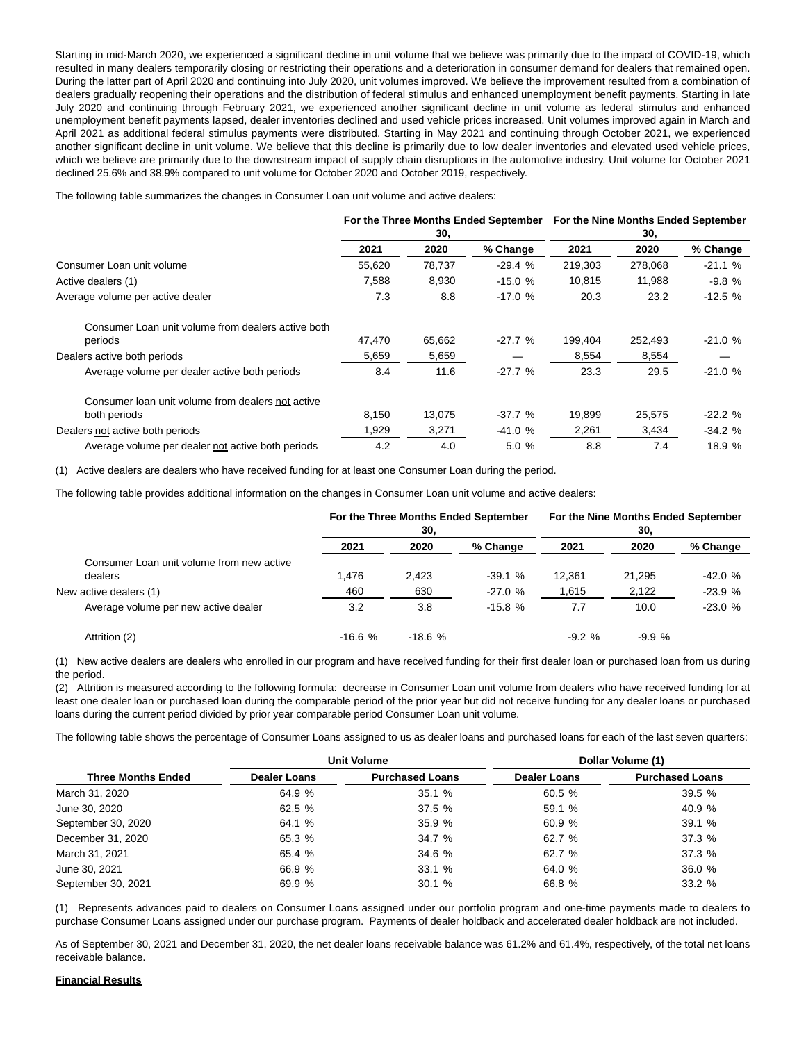Starting in mid-March 2020, we experienced a significant decline in unit volume that we believe was primarily due to the impact of COVID-19, which resulted in many dealers temporarily closing or restricting their operations and a deterioration in consumer demand for dealers that remained open. During the latter part of April 2020 and continuing into July 2020, unit volumes improved. We believe the improvement resulted from a combination of dealers gradually reopening their operations and the distribution of federal stimulus and enhanced unemployment benefit payments. Starting in late July 2020 and continuing through February 2021, we experienced another significant decline in unit volume as federal stimulus and enhanced unemployment benefit payments lapsed, dealer inventories declined and used vehicle prices increased. Unit volumes improved again in March and April 2021 as additional federal stimulus payments were distributed. Starting in May 2021 and continuing through October 2021, we experienced another significant decline in unit volume. We believe that this decline is primarily due to low dealer inventories and elevated used vehicle prices, which we believe are primarily due to the downstream impact of supply chain disruptions in the automotive industry. Unit volume for October 2021 declined 25.6% and 38.9% compared to unit volume for October 2020 and October 2019, respectively.

The following table summarizes the changes in Consumer Loan unit volume and active dealers:

|                                                               | For the Three Months Ended September<br>30, |        |          | For the Nine Months Ended September<br>30. |         |          |
|---------------------------------------------------------------|---------------------------------------------|--------|----------|--------------------------------------------|---------|----------|
|                                                               | 2021                                        | 2020   | % Change | 2021                                       | 2020    | % Change |
| Consumer Loan unit volume                                     | 55.620                                      | 78,737 | $-29.4%$ | 219,303                                    | 278,068 | $-21.1%$ |
| Active dealers (1)                                            | 7,588                                       | 8,930  | $-15.0%$ | 10,815                                     | 11,988  | $-9.8%$  |
| Average volume per active dealer                              | 7.3                                         | 8.8    | $-17.0%$ | 20.3                                       | 23.2    | $-12.5%$ |
| Consumer Loan unit volume from dealers active both<br>periods | 47.470                                      | 65,662 | $-27.7%$ | 199.404                                    | 252.493 | $-21.0%$ |
| Dealers active both periods                                   | 5,659                                       | 5,659  |          | 8,554                                      | 8,554   |          |
| Average volume per dealer active both periods                 | 8.4                                         | 11.6   | $-27.7%$ | 23.3                                       | 29.5    | $-21.0%$ |
| Consumer loan unit volume from dealers not active             |                                             |        |          |                                            |         |          |
| both periods                                                  | 8.150                                       | 13,075 | $-37.7%$ | 19,899                                     | 25,575  | $-22.2%$ |
| Dealers not active both periods                               | 1,929                                       | 3,271  | $-41.0%$ | 2,261                                      | 3,434   | $-34.2%$ |
| Average volume per dealer not active both periods             | 4.2                                         | 4.0    | 5.0%     | 8.8                                        | 7.4     | 18.9 %   |

(1) Active dealers are dealers who have received funding for at least one Consumer Loan during the period.

The following table provides additional information on the changes in Consumer Loan unit volume and active dealers:

|                                                      |          | 30,      | For the Three Months Ended September |         | For the Nine Months Ended September<br>30. |          |
|------------------------------------------------------|----------|----------|--------------------------------------|---------|--------------------------------------------|----------|
|                                                      | 2021     | 2020     | % Change                             | 2021    | 2020                                       | % Change |
| Consumer Loan unit volume from new active<br>dealers | 1.476    | 2.423    | $-39.1%$                             | 12.361  | 21,295                                     | $-42.0%$ |
| New active dealers (1)                               | 460      | 630      | $-27.0%$                             | 1,615   | 2,122                                      | $-23.9%$ |
| Average volume per new active dealer                 | 3.2      | 3.8      | $-15.8%$                             | 7.7     | 10.0                                       | $-23.0%$ |
| Attrition (2)                                        | $-16.6%$ | $-18.6%$ |                                      | $-9.2%$ | $-9.9%$                                    |          |

(1) New active dealers are dealers who enrolled in our program and have received funding for their first dealer loan or purchased loan from us during the period.

(2) Attrition is measured according to the following formula: decrease in Consumer Loan unit volume from dealers who have received funding for at least one dealer loan or purchased loan during the comparable period of the prior year but did not receive funding for any dealer loans or purchased loans during the current period divided by prior year comparable period Consumer Loan unit volume.

The following table shows the percentage of Consumer Loans assigned to us as dealer loans and purchased loans for each of the last seven quarters:

|                           |                     | <b>Unit Volume</b>     |                     | Dollar Volume (1)      |
|---------------------------|---------------------|------------------------|---------------------|------------------------|
| <b>Three Months Ended</b> | <b>Dealer Loans</b> | <b>Purchased Loans</b> | <b>Dealer Loans</b> | <b>Purchased Loans</b> |
| March 31, 2020            | 64.9 %              | 35.1 %                 | 60.5 %              | 39.5%                  |
| June 30, 2020             | 62.5 %              | 37.5 %                 | 59.1 %              | 40.9 %                 |
| September 30, 2020        | 64.1 %              | 35.9 %                 | 60.9 %              | 39.1%                  |
| December 31, 2020         | 65.3 %              | 34.7 %                 | 62.7 %              | 37.3 %                 |
| March 31, 2021            | 65.4 %              | 34.6 %                 | 62.7 %              | 37.3 %                 |
| June 30, 2021             | 66.9 %              | 33.1%                  | 64.0 %              | 36.0 %                 |
| September 30, 2021        | 69.9 %              | 30.1%                  | 66.8 %              | 33.2%                  |

(1) Represents advances paid to dealers on Consumer Loans assigned under our portfolio program and one-time payments made to dealers to purchase Consumer Loans assigned under our purchase program. Payments of dealer holdback and accelerated dealer holdback are not included.

As of September 30, 2021 and December 31, 2020, the net dealer loans receivable balance was 61.2% and 61.4%, respectively, of the total net loans receivable balance.

#### **Financial Results**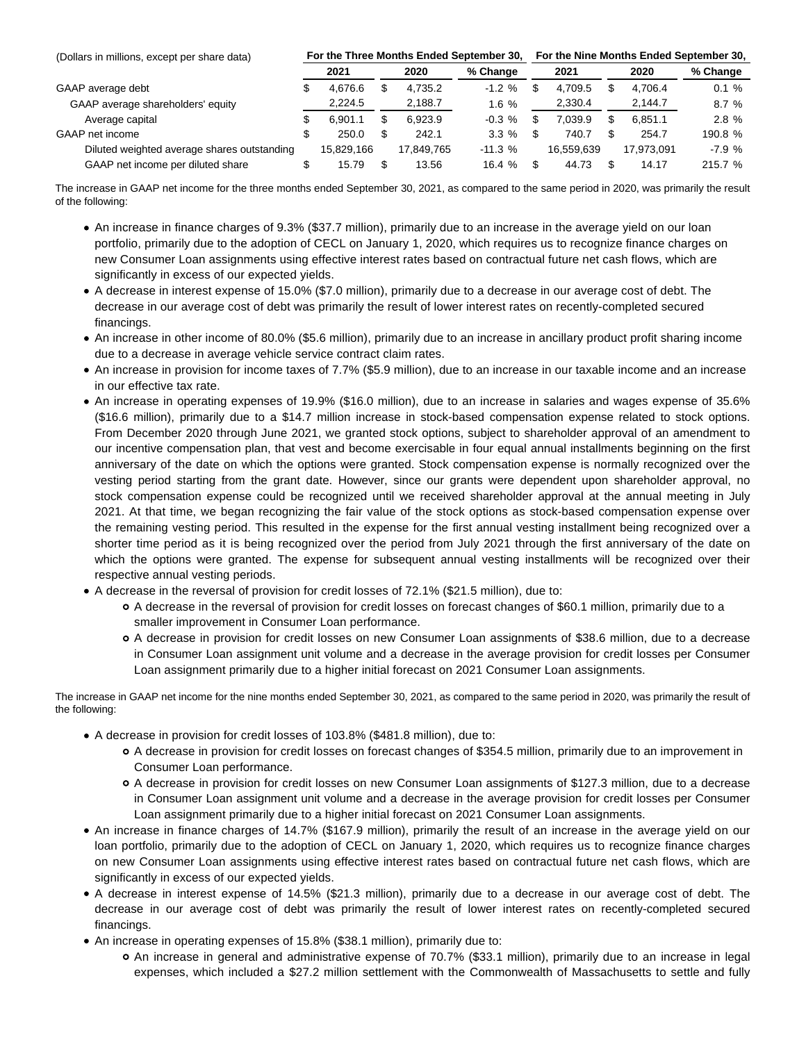| (Dollars in millions, except per share data) |            |            | For the Three Months Ended September 30. |            | For the Nine Months Ended September 30. |          |
|----------------------------------------------|------------|------------|------------------------------------------|------------|-----------------------------------------|----------|
|                                              | 2021       | 2020       | % Change                                 | 2021       | 2020                                    | % Change |
| GAAP average debt                            | 4.676.6    | 4.735.2    | $-1.2 \%$                                | 4.709.5    | 4.706.4                                 | $0.1 \%$ |
| GAAP average shareholders' equity            | 2.224.5    | 2.188.7    | 1.6 $%$                                  | 2.330.4    | 2.144.7                                 | 8.7%     |
| Average capital                              | 6.901.1    | 6.923.9    | $-0.3%$                                  | 7.039.9    | 6.851.1                                 | 2.8%     |
| GAAP net income                              | 250.0      | 242.1      | 3.3%                                     | 740.7      | 254.7                                   | 190.8 %  |
| Diluted weighted average shares outstanding  | 15.829.166 | 17.849.765 | $-11.3%$                                 | 16.559.639 | 17.973.091                              | $-7.9%$  |
| GAAP net income per diluted share            | 15.79      | 13.56      | 16.4 %                                   | 44.73      | 14.17                                   | 215.7%   |

The increase in GAAP net income for the three months ended September 30, 2021, as compared to the same period in 2020, was primarily the result of the following:

- An increase in finance charges of 9.3% (\$37.7 million), primarily due to an increase in the average yield on our loan portfolio, primarily due to the adoption of CECL on January 1, 2020, which requires us to recognize finance charges on new Consumer Loan assignments using effective interest rates based on contractual future net cash flows, which are significantly in excess of our expected yields.
- A decrease in interest expense of 15.0% (\$7.0 million), primarily due to a decrease in our average cost of debt. The decrease in our average cost of debt was primarily the result of lower interest rates on recently-completed secured financings.
- An increase in other income of 80.0% (\$5.6 million), primarily due to an increase in ancillary product profit sharing income due to a decrease in average vehicle service contract claim rates.
- An increase in provision for income taxes of 7.7% (\$5.9 million), due to an increase in our taxable income and an increase in our effective tax rate.
- An increase in operating expenses of 19.9% (\$16.0 million), due to an increase in salaries and wages expense of 35.6% (\$16.6 million), primarily due to a \$14.7 million increase in stock-based compensation expense related to stock options. From December 2020 through June 2021, we granted stock options, subject to shareholder approval of an amendment to our incentive compensation plan, that vest and become exercisable in four equal annual installments beginning on the first anniversary of the date on which the options were granted. Stock compensation expense is normally recognized over the vesting period starting from the grant date. However, since our grants were dependent upon shareholder approval, no stock compensation expense could be recognized until we received shareholder approval at the annual meeting in July 2021. At that time, we began recognizing the fair value of the stock options as stock-based compensation expense over the remaining vesting period. This resulted in the expense for the first annual vesting installment being recognized over a shorter time period as it is being recognized over the period from July 2021 through the first anniversary of the date on which the options were granted. The expense for subsequent annual vesting installments will be recognized over their respective annual vesting periods.
- A decrease in the reversal of provision for credit losses of 72.1% (\$21.5 million), due to:
	- A decrease in the reversal of provision for credit losses on forecast changes of \$60.1 million, primarily due to a smaller improvement in Consumer Loan performance.
	- A decrease in provision for credit losses on new Consumer Loan assignments of \$38.6 million, due to a decrease in Consumer Loan assignment unit volume and a decrease in the average provision for credit losses per Consumer Loan assignment primarily due to a higher initial forecast on 2021 Consumer Loan assignments.

The increase in GAAP net income for the nine months ended September 30, 2021, as compared to the same period in 2020, was primarily the result of the following:

- A decrease in provision for credit losses of 103.8% (\$481.8 million), due to:
	- A decrease in provision for credit losses on forecast changes of \$354.5 million, primarily due to an improvement in Consumer Loan performance.
	- A decrease in provision for credit losses on new Consumer Loan assignments of \$127.3 million, due to a decrease in Consumer Loan assignment unit volume and a decrease in the average provision for credit losses per Consumer Loan assignment primarily due to a higher initial forecast on 2021 Consumer Loan assignments.
- An increase in finance charges of 14.7% (\$167.9 million), primarily the result of an increase in the average yield on our loan portfolio, primarily due to the adoption of CECL on January 1, 2020, which requires us to recognize finance charges on new Consumer Loan assignments using effective interest rates based on contractual future net cash flows, which are significantly in excess of our expected yields.
- A decrease in interest expense of 14.5% (\$21.3 million), primarily due to a decrease in our average cost of debt. The decrease in our average cost of debt was primarily the result of lower interest rates on recently-completed secured financings.
- An increase in operating expenses of 15.8% (\$38.1 million), primarily due to:
	- An increase in general and administrative expense of 70.7% (\$33.1 million), primarily due to an increase in legal expenses, which included a \$27.2 million settlement with the Commonwealth of Massachusetts to settle and fully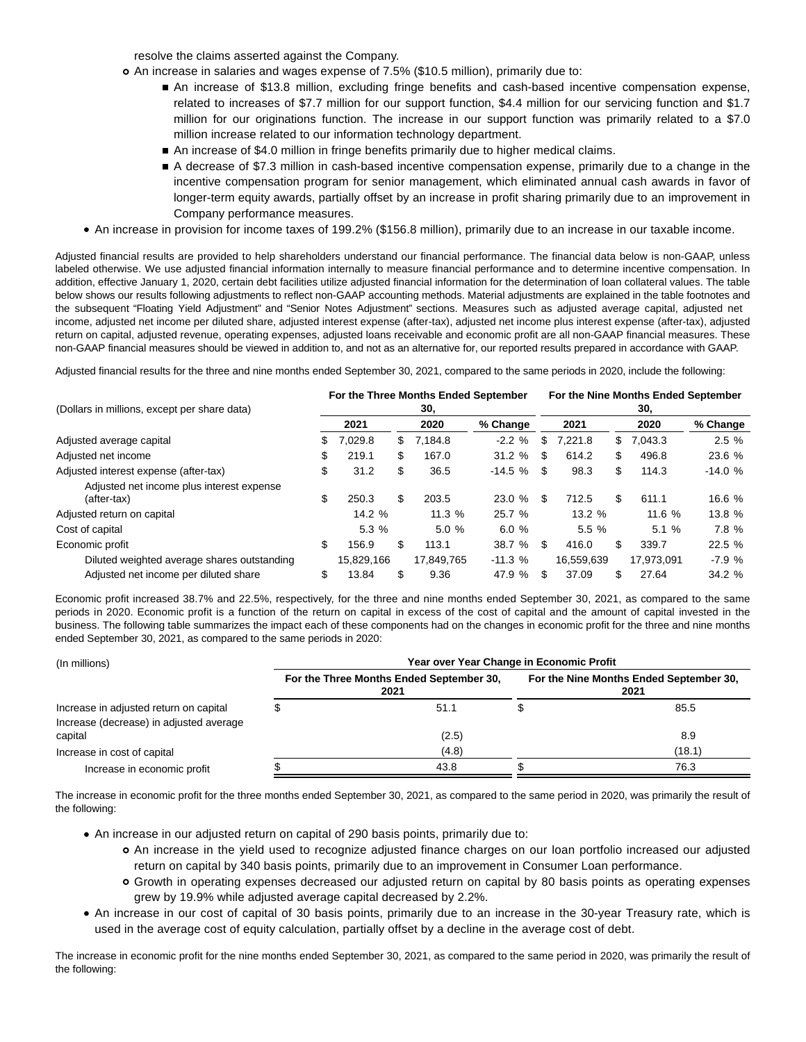resolve the claims asserted against the Company.

- An increase in salaries and wages expense of 7.5% (\$10.5 million), primarily due to:
	- An increase of \$13.8 million, excluding fringe benefits and cash-based incentive compensation expense, related to increases of \$7.7 million for our support function, \$4.4 million for our servicing function and \$1.7 million for our originations function. The increase in our support function was primarily related to a \$7.0 million increase related to our information technology department.
	- An increase of \$4.0 million in fringe benefits primarily due to higher medical claims.
	- A decrease of \$7.3 million in cash-based incentive compensation expense, primarily due to a change in the incentive compensation program for senior management, which eliminated annual cash awards in favor of longer-term equity awards, partially offset by an increase in profit sharing primarily due to an improvement in Company performance measures.
- An increase in provision for income taxes of 199.2% (\$156.8 million), primarily due to an increase in our taxable income.

Adjusted financial results are provided to help shareholders understand our financial performance. The financial data below is non-GAAP, unless labeled otherwise. We use adjusted financial information internally to measure financial performance and to determine incentive compensation. In addition, effective January 1, 2020, certain debt facilities utilize adjusted financial information for the determination of loan collateral values. The table below shows our results following adjustments to reflect non-GAAP accounting methods. Material adjustments are explained in the table footnotes and the subsequent "Floating Yield Adjustment" and "Senior Notes Adjustment" sections. Measures such as adjusted average capital, adjusted net income, adjusted net income per diluted share, adjusted interest expense (after-tax), adjusted net income plus interest expense (after-tax), adjusted return on capital, adjusted revenue, operating expenses, adjusted loans receivable and economic profit are all non-GAAP financial measures. These non-GAAP financial measures should be viewed in addition to, and not as an alternative for, our reported results prepared in accordance with GAAP.

Adjusted financial results for the three and nine months ended September 30, 2021, compared to the same periods in 2020, include the following:

| (Dollars in millions, except per share data)             |    |            |     | For the Three Months Ended September<br>30, |          |      | For the Nine Months Ended September<br>30, |     |            |          |  |  |
|----------------------------------------------------------|----|------------|-----|---------------------------------------------|----------|------|--------------------------------------------|-----|------------|----------|--|--|
|                                                          |    | 2021       |     | 2020                                        | % Change |      | 2021                                       |     | 2020       | % Change |  |  |
| Adjusted average capital                                 | S. | 7.029.8    | \$. | 7.184.8                                     | $-2.2%$  | \$   | 7.221.8                                    | \$. | 7.043.3    | 2.5%     |  |  |
| Adjusted net income                                      | S  | 219.1      | S   | 167.0                                       | 31.2%    | S    | 614.2                                      | \$  | 496.8      | 23.6 %   |  |  |
| Adjusted interest expense (after-tax)                    | \$ | 31.2       | \$  | 36.5                                        | $-14.5%$ | -S   | 98.3                                       | \$  | 114.3      | $-14.0%$ |  |  |
| Adjusted net income plus interest expense<br>(after-tax) | \$ | 250.3      | \$  | 203.5                                       | 23.0 %   | \$.  | 712.5                                      | \$  | 611.1      | 16.6 %   |  |  |
| Adjusted return on capital                               |    | 14.2 %     |     | 11.3%                                       | 25.7 %   |      | 13.2%                                      |     | 11.6 %     | 13.8 %   |  |  |
| Cost of capital                                          |    | 5.3 %      |     | 5.0%                                        | 6.0%     |      | 5.5 %                                      |     | 5.1%       | 7.8 %    |  |  |
| Economic profit                                          | S  | 156.9      | S   | 113.1                                       | 38.7 %   | - \$ | 416.0                                      | \$  | 339.7      | 22.5 %   |  |  |
| Diluted weighted average shares outstanding              |    | 15,829,166 |     | 17.849.765                                  | $-11.3%$ |      | 16.559.639                                 |     | 17.973.091 | $-7.9%$  |  |  |
| Adjusted net income per diluted share                    | \$ | 13.84      | S   | 9.36                                        | 47.9 %   | \$.  | 37.09                                      | S   | 27.64      | 34.2 %   |  |  |

Economic profit increased 38.7% and 22.5%, respectively, for the three and nine months ended September 30, 2021, as compared to the same periods in 2020. Economic profit is a function of the return on capital in excess of the cost of capital and the amount of capital invested in the business. The following table summarizes the impact each of these components had on the changes in economic profit for the three and nine months ended September 30, 2021, as compared to the same periods in 2020:

| (In millions)                           | Year over Year Change in Economic Profit         |                                                 |
|-----------------------------------------|--------------------------------------------------|-------------------------------------------------|
|                                         | For the Three Months Ended September 30,<br>2021 | For the Nine Months Ended September 30,<br>2021 |
| Increase in adjusted return on capital  | 51.1                                             | 85.5                                            |
| Increase (decrease) in adjusted average |                                                  |                                                 |
| capital                                 | (2.5)                                            | 8.9                                             |
| Increase in cost of capital             | (4.8)                                            | (18.1)                                          |
| Increase in economic profit             | 43.8                                             | 76.3                                            |

The increase in economic profit for the three months ended September 30, 2021, as compared to the same period in 2020, was primarily the result of the following:

- An increase in our adjusted return on capital of 290 basis points, primarily due to:
	- An increase in the yield used to recognize adjusted finance charges on our loan portfolio increased our adjusted return on capital by 340 basis points, primarily due to an improvement in Consumer Loan performance.
	- Growth in operating expenses decreased our adjusted return on capital by 80 basis points as operating expenses grew by 19.9% while adjusted average capital decreased by 2.2%.
- An increase in our cost of capital of 30 basis points, primarily due to an increase in the 30-year Treasury rate, which is used in the average cost of equity calculation, partially offset by a decline in the average cost of debt.

The increase in economic profit for the nine months ended September 30, 2021, as compared to the same period in 2020, was primarily the result of the following: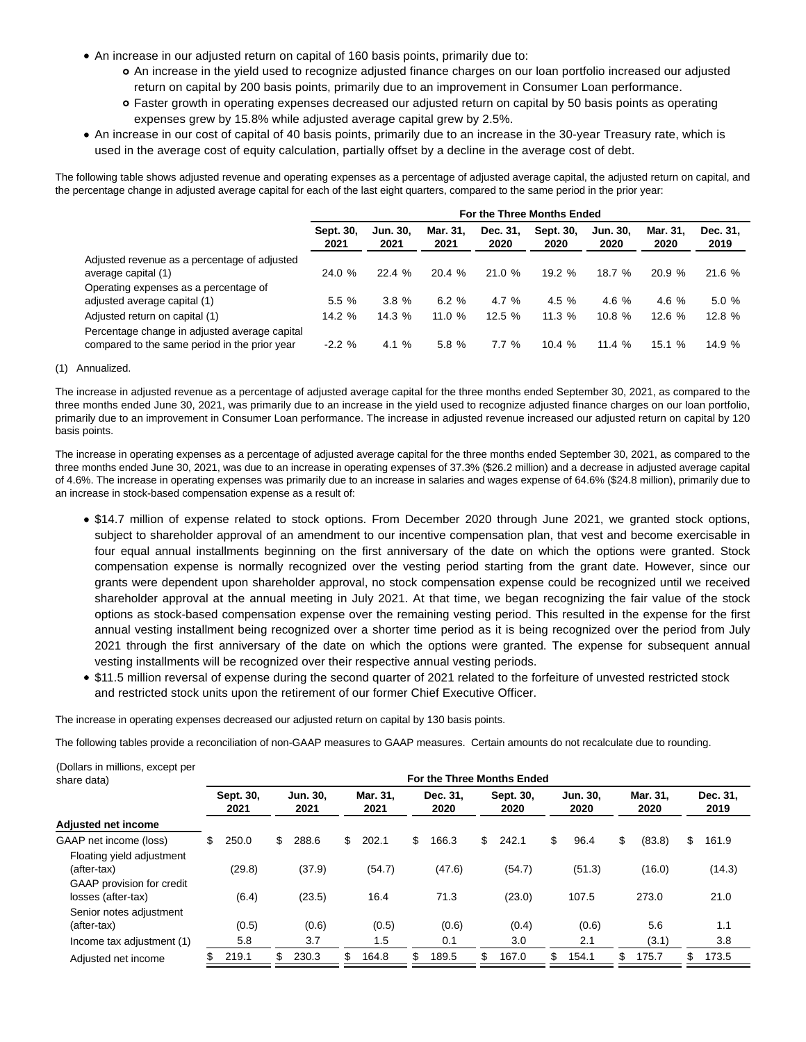- An increase in our adjusted return on capital of 160 basis points, primarily due to:
	- An increase in the yield used to recognize adjusted finance charges on our loan portfolio increased our adjusted return on capital by 200 basis points, primarily due to an improvement in Consumer Loan performance.
	- Faster growth in operating expenses decreased our adjusted return on capital by 50 basis points as operating expenses grew by 15.8% while adjusted average capital grew by 2.5%.
- An increase in our cost of capital of 40 basis points, primarily due to an increase in the 30-year Treasury rate, which is used in the average cost of equity calculation, partially offset by a decline in the average cost of debt.

The following table shows adjusted revenue and operating expenses as a percentage of adjusted average capital, the adjusted return on capital, and the percentage change in adjusted average capital for each of the last eight quarters, compared to the same period in the prior year:

|                                               |                   |                  |                  |                  | For the Three Months Ended |                  |                  |                  |
|-----------------------------------------------|-------------------|------------------|------------------|------------------|----------------------------|------------------|------------------|------------------|
|                                               | Sept. 30,<br>2021 | Jun. 30.<br>2021 | Mar. 31,<br>2021 | Dec. 31,<br>2020 | Sept. 30,<br>2020          | Jun. 30.<br>2020 | Mar. 31.<br>2020 | Dec. 31,<br>2019 |
| Adjusted revenue as a percentage of adjusted  |                   |                  |                  |                  |                            |                  |                  |                  |
| average capital (1)                           | 24.0 %            | 22.4%            | 20.4%            | 21.0%            | 19.2%                      | 18.7%            | 20.9%            | 21.6 %           |
| Operating expenses as a percentage of         |                   |                  |                  |                  |                            |                  |                  |                  |
| adjusted average capital (1)                  | 5.5%              | 3.8%             | 6.2%             | 4.7 $%$          | $4.5 \%$                   | 4.6 $%$          | 4.6 %            | 5.0%             |
| Adjusted return on capital (1)                | 14.2 %            | 14.3 %           | 11.0 %           | 12.5 %           | 11.3%                      | 10.8%            | 12.6 %           | 12.8 %           |
| Percentage change in adjusted average capital |                   |                  |                  |                  |                            |                  |                  |                  |
| compared to the same period in the prior year | $-2.2%$           | 4.1 $%$          | 5.8 %            | 7.7%             | 10.4%                      | 11.4 $%$         | 15.1%            | 14.9 %           |

#### (1) Annualized.

(Dollars in millions, except per

The increase in adjusted revenue as a percentage of adjusted average capital for the three months ended September 30, 2021, as compared to the three months ended June 30, 2021, was primarily due to an increase in the yield used to recognize adjusted finance charges on our loan portfolio, primarily due to an improvement in Consumer Loan performance. The increase in adjusted revenue increased our adjusted return on capital by 120 basis points.

The increase in operating expenses as a percentage of adjusted average capital for the three months ended September 30, 2021, as compared to the three months ended June 30, 2021, was due to an increase in operating expenses of 37.3% (\$26.2 million) and a decrease in adjusted average capital of 4.6%. The increase in operating expenses was primarily due to an increase in salaries and wages expense of 64.6% (\$24.8 million), primarily due to an increase in stock-based compensation expense as a result of:

- \$14.7 million of expense related to stock options. From December 2020 through June 2021, we granted stock options, subject to shareholder approval of an amendment to our incentive compensation plan, that vest and become exercisable in four equal annual installments beginning on the first anniversary of the date on which the options were granted. Stock compensation expense is normally recognized over the vesting period starting from the grant date. However, since our grants were dependent upon shareholder approval, no stock compensation expense could be recognized until we received shareholder approval at the annual meeting in July 2021. At that time, we began recognizing the fair value of the stock options as stock-based compensation expense over the remaining vesting period. This resulted in the expense for the first annual vesting installment being recognized over a shorter time period as it is being recognized over the period from July 2021 through the first anniversary of the date on which the options were granted. The expense for subsequent annual vesting installments will be recognized over their respective annual vesting periods.
- \$11.5 million reversal of expense during the second quarter of 2021 related to the forfeiture of unvested restricted stock and restricted stock units upon the retirement of our former Chief Executive Officer.

The increase in operating expenses decreased our adjusted return on capital by 130 basis points.

The following tables provide a reconciliation of non-GAAP measures to GAAP measures. Certain amounts do not recalculate due to rounding.

| (Dollars III Millions, except per<br>share data) |                   |                  |                  | For the Three Months Ended |     |                   |                  |     |                  |                  |
|--------------------------------------------------|-------------------|------------------|------------------|----------------------------|-----|-------------------|------------------|-----|------------------|------------------|
|                                                  | Sept. 30.<br>2021 | Jun. 30.<br>2021 | Mar. 31.<br>2021 | Dec. 31.<br>2020           |     | Sept. 30.<br>2020 | Jun. 30.<br>2020 |     | Mar. 31.<br>2020 | Dec. 31.<br>2019 |
| <b>Adjusted net income</b>                       |                   |                  |                  |                            |     |                   |                  |     |                  |                  |
| GAAP net income (loss)                           | \$<br>250.0       | \$<br>288.6      | \$<br>202.1      | \$<br>166.3                | \$  | 242.1             | \$<br>96.4       | \$  | (83.8)           | \$<br>161.9      |
| Floating yield adjustment<br>(after-tax)         | (29.8)            | (37.9)           | (54.7)           | (47.6)                     |     | (54.7)            | (51.3)           |     | (16.0)           | (14.3)           |
| GAAP provision for credit<br>losses (after-tax)  | (6.4)             | (23.5)           | 16.4             | 71.3                       |     | (23.0)            | 107.5            |     | 273.0            | 21.0             |
| Senior notes adjustment<br>(after-tax)           | (0.5)             | (0.6)            | (0.5)            | (0.6)                      |     | (0.4)             | (0.6)            |     | 5.6              | 1.1              |
| Income tax adjustment (1)                        | 5.8               | 3.7              | 1.5              | 0.1                        |     | 3.0               | 2.1              |     | (3.1)            | 3.8              |
| Adjusted net income                              | 219.1             | \$<br>230.3      | \$<br>164.8      | \$<br>189.5                | \$. | 167.0             | \$<br>154.1      | \$. | 175.7            | 173.5            |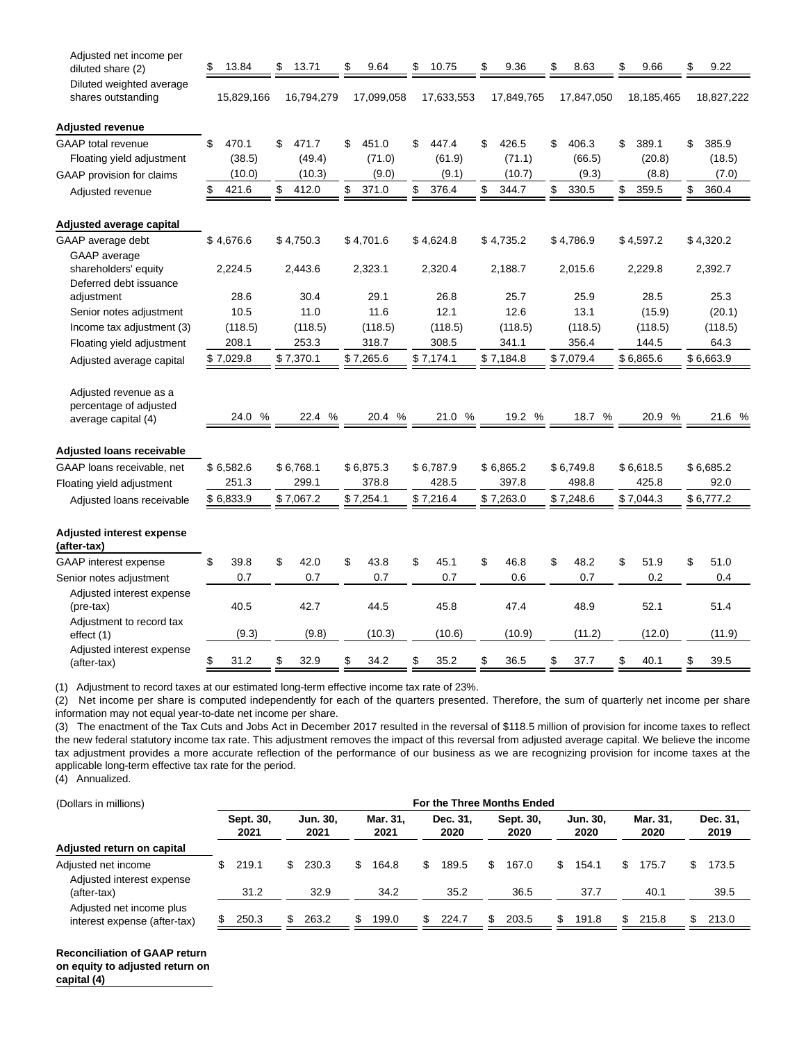| Adjusted net income per<br>diluted share (2)    | S  | 13.84      | \$<br>13.71 | \$<br>9.64  | \$<br>10.75 | \$<br>9.36  | \$<br>8.63  | \$<br>9.66  | \$<br>9.22  |
|-------------------------------------------------|----|------------|-------------|-------------|-------------|-------------|-------------|-------------|-------------|
| Diluted weighted average<br>shares outstanding  |    | 15,829,166 | 16,794,279  | 17,099,058  | 17,633,553  | 17,849,765  | 17,847,050  | 18,185,465  | 18,827,222  |
| <b>Adjusted revenue</b>                         |    |            |             |             |             |             |             |             |             |
| <b>GAAP</b> total revenue                       | \$ | 470.1      | \$<br>471.7 | \$<br>451.0 | \$<br>447.4 | \$<br>426.5 | \$<br>406.3 | \$<br>389.1 | \$<br>385.9 |
| Floating yield adjustment                       |    | (38.5)     | (49.4)      | (71.0)      | (61.9)      | (71.1)      | (66.5)      | (20.8)      | (18.5)      |
| GAAP provision for claims                       |    | (10.0)     | (10.3)      | (9.0)       | (9.1)       | (10.7)      | (9.3)       | (8.8)       | (7.0)       |
| Adjusted revenue                                | \$ | 421.6      | \$<br>412.0 | \$<br>371.0 | \$<br>376.4 | \$<br>344.7 | \$<br>330.5 | \$<br>359.5 | \$<br>360.4 |
| Adjusted average capital                        |    |            |             |             |             |             |             |             |             |
| GAAP average debt                               |    | \$4,676.6  | \$4,750.3   | \$4,701.6   | \$4,624.8   | \$4,735.2   | \$4,786.9   | \$4,597.2   | \$4,320.2   |
| GAAP average                                    |    |            |             |             |             |             |             |             |             |
| shareholders' equity                            |    | 2,224.5    | 2,443.6     | 2,323.1     | 2,320.4     | 2,188.7     | 2,015.6     | 2,229.8     | 2,392.7     |
| Deferred debt issuance                          |    |            |             |             |             |             |             |             |             |
| adjustment                                      |    | 28.6       | 30.4        | 29.1        | 26.8        | 25.7        | 25.9        | 28.5        | 25.3        |
| Senior notes adjustment                         |    | 10.5       | 11.0        | 11.6        | 12.1        | 12.6        | 13.1        | (15.9)      | (20.1)      |
| Income tax adjustment (3)                       |    | (118.5)    | (118.5)     | (118.5)     | (118.5)     | (118.5)     | (118.5)     | (118.5)     | (118.5)     |
| Floating yield adjustment                       |    | 208.1      | 253.3       | 318.7       | 308.5       | 341.1       | 356.4       | 144.5       | 64.3        |
| Adjusted average capital                        |    | \$7,029.8  | \$7,370.1   | \$7,265.6   | \$7,174.1   | \$7,184.8   | \$7,079.4   | \$6,865.6   | \$6,663.9   |
| Adjusted revenue as a                           |    |            |             |             |             |             |             |             |             |
| percentage of adjusted                          |    |            |             |             |             |             |             |             |             |
| average capital (4)                             |    | 24.0 %     | 22.4 %      | 20.4 %      | 21.0 %      | 19.2 %      | 18.7 %      | 20.9 %      | 21.6 %      |
| <b>Adjusted loans receivable</b>                |    |            |             |             |             |             |             |             |             |
| GAAP loans receivable, net                      |    | \$6,582.6  | \$6,768.1   | \$6,875.3   | \$6,787.9   | \$6,865.2   | \$6,749.8   | \$6,618.5   | \$6,685.2   |
| Floating yield adjustment                       |    | 251.3      | 299.1       | 378.8       | 428.5       | 397.8       | 498.8       | 425.8       | 92.0        |
| Adjusted loans receivable                       |    | \$6,833.9  | \$7,067.2   | \$7,254.1   | \$7,216.4   | \$7,263.0   | \$7,248.6   | \$7,044.3   | \$6,777.2   |
| Adjusted interest expense<br>(after-tax)        |    |            |             |             |             |             |             |             |             |
| GAAP interest expense                           | \$ | 39.8       | \$<br>42.0  | \$<br>43.8  | \$<br>45.1  | \$<br>46.8  | \$<br>48.2  | \$<br>51.9  | \$<br>51.0  |
| Senior notes adjustment                         |    | 0.7        | 0.7         | 0.7         | 0.7         | 0.6         | 0.7         | 0.2         | 0.4         |
| Adjusted interest expense<br>$(\text{pre-tax})$ |    | 40.5       | 42.7        | 44.5        | 45.8        | 47.4        | 48.9        | 52.1        | 51.4        |
| Adjustment to record tax<br>effect (1)          |    | (9.3)      | (9.8)       | (10.3)      | (10.6)      | (10.9)      | (11.2)      | (12.0)      | (11.9)      |
| Adjusted interest expense<br>(after-tax)        | \$ | 31.2       | \$<br>32.9  | \$<br>34.2  | \$<br>35.2  | \$<br>36.5  | \$<br>37.7  | \$<br>40.1  | \$<br>39.5  |

(1) Adjustment to record taxes at our estimated long-term effective income tax rate of 23%.

(2) Net income per share is computed independently for each of the quarters presented. Therefore, the sum of quarterly net income per share information may not equal year-to-date net income per share.

(3) The enactment of the Tax Cuts and Jobs Act in December 2017 resulted in the reversal of \$118.5 million of provision for income taxes to reflect the new federal statutory income tax rate. This adjustment removes the impact of this reversal from adjusted average capital. We believe the income tax adjustment provides a more accurate reflection of the performance of our business as we are recognizing provision for income taxes at the applicable long-term effective tax rate for the period.

(4) Annualized.

| (Dollars in millions)                                    | For the Three Months Ended |                   |     |                         |   |                  |    |                  |     |                   |     |                  |     |                  |   |                  |
|----------------------------------------------------------|----------------------------|-------------------|-----|-------------------------|---|------------------|----|------------------|-----|-------------------|-----|------------------|-----|------------------|---|------------------|
|                                                          |                            | Sept. 30,<br>2021 |     | <b>Jun. 30.</b><br>2021 |   | Mar. 31.<br>2021 |    | Dec. 31.<br>2020 |     | Sept. 30.<br>2020 |     | Jun. 30.<br>2020 |     | Mar. 31.<br>2020 |   | Dec. 31.<br>2019 |
| Adjusted return on capital                               |                            |                   |     |                         |   |                  |    |                  |     |                   |     |                  |     |                  |   |                  |
| Adjusted net income                                      |                            | 219.1             | \$. | 230.3                   | S | 164.8            | £. | 189.5            | \$. | 167.0             | \$. | 154.1            | S.  | 175.7            | S | 173.5            |
| Adjusted interest expense<br>(after-tax)                 |                            | 31.2              |     | 32.9                    |   | 34.2             |    | 35.2             |     | 36.5              |     | 37.7             |     | 40.1             |   | 39.5             |
| Adjusted net income plus<br>interest expense (after-tax) |                            | 250.3             |     | 263.2                   |   | 199.0            |    | 224.7            |     | 203.5             | S   | 191.8            | \$. | 215.8            | S | 213.0            |

#### **Reconciliation of GAAP return**

**on equity to adjusted return on**

**capital (4)**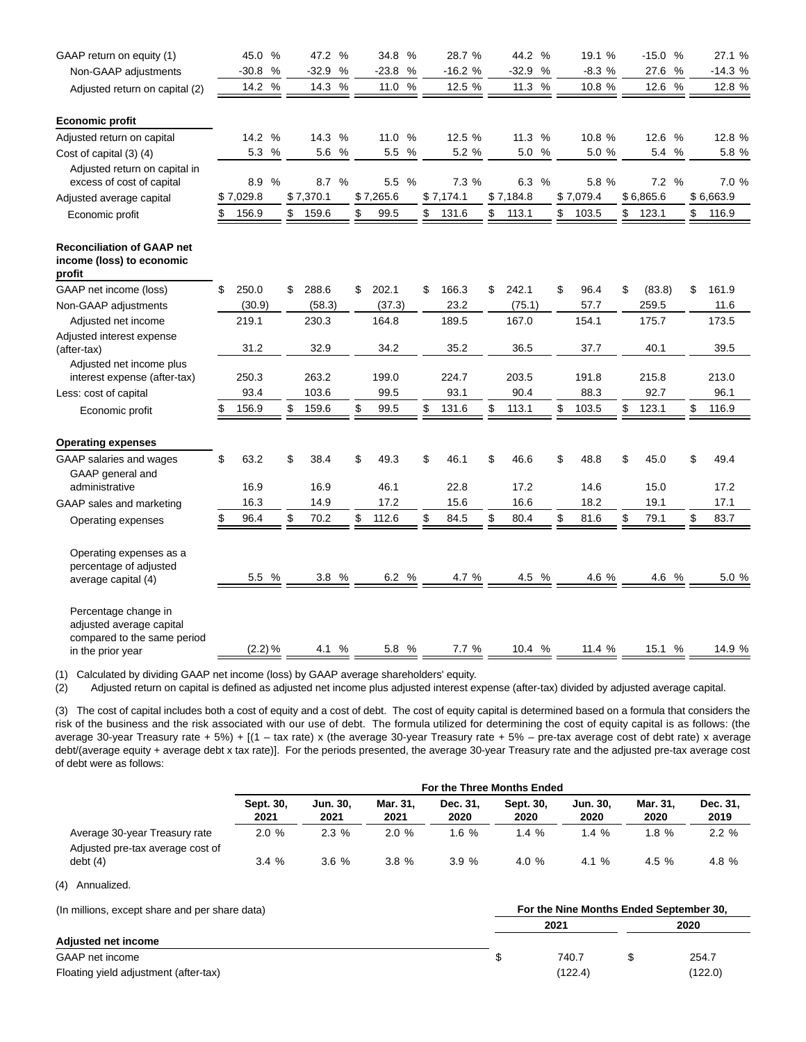| GAAP return on equity (1)                                                                            | 45.0 %      |           | 47.2 %      |        | 34.8 %      |           | 28.7 %         | 44.2 %      |           | 19.1 %         |    | $-15.0%$     |      | 27.1 %         |
|------------------------------------------------------------------------------------------------------|-------------|-----------|-------------|--------|-------------|-----------|----------------|-------------|-----------|----------------|----|--------------|------|----------------|
| Non-GAAP adjustments                                                                                 | $-30.8$ %   |           | -32.9       | %      | $-23.8%$    |           | $-16.2%$       | $-32.9%$    |           | $-8.3%$        |    | 27.6         | %    | $-14.3%$       |
| Adjusted return on capital (2)                                                                       | 14.2 %      |           | 14.3 %      |        | 11.0 %      |           | 12.5 %         | 11.3 %      |           | 10.8 %         |    | 12.6 %       |      | 12.8 %         |
| <b>Economic profit</b>                                                                               |             |           |             |        |             |           |                |             |           |                |    |              |      |                |
| Adjusted return on capital                                                                           | 14.2 %      |           | 14.3        | $\%$   | 11.0 %      |           | 12.5 %         | 11.3        | %         | 10.8 %         |    | 12.6         | %    | 12.8 %         |
| Cost of capital (3) (4)<br>Adjusted return on capital in<br>excess of cost of capital                | 5.3<br>8.9  | %<br>$\%$ | 5.6<br>8.7  | %<br>% | 5.5<br>5.5  | %<br>$\%$ | 5.2 %<br>7.3 % | 5.0<br>6.3  | $\%$<br>% | 5.0 %<br>5.8 % |    | 5.4<br>7.2 % | $\%$ | 5.8 %<br>7.0 % |
| Adjusted average capital                                                                             | \$7,029.8   |           | \$7,370.1   |        | \$7,265.6   |           | \$7,174.1      | \$7,184.8   |           | \$7,079.4      |    | \$6,865.6    |      | \$6,663.9      |
| Economic profit                                                                                      | \$<br>156.9 |           | \$<br>159.6 |        | \$<br>99.5  |           | \$<br>131.6    | \$<br>113.1 |           | \$<br>103.5    | \$ | 123.1        |      | \$<br>116.9    |
| <b>Reconciliation of GAAP net</b><br>income (loss) to economic<br>profit                             |             |           |             |        |             |           |                |             |           |                |    |              |      |                |
| GAAP net income (loss)                                                                               | \$<br>250.0 |           | \$<br>288.6 |        | \$<br>202.1 |           | \$<br>166.3    | \$<br>242.1 |           | \$<br>96.4     | \$ | (83.8)       |      | \$<br>161.9    |
| Non-GAAP adjustments                                                                                 | (30.9)      |           | (58.3)      |        | (37.3)      |           | 23.2           | (75.1)      |           | 57.7           |    | 259.5        |      | 11.6           |
| Adjusted net income                                                                                  | 219.1       |           | 230.3       |        | 164.8       |           | 189.5          | 167.0       |           | 154.1          |    | 175.7        |      | 173.5          |
| Adjusted interest expense<br>(after-tax)                                                             | 31.2        |           | 32.9        |        | 34.2        |           | 35.2           | 36.5        |           | 37.7           |    | 40.1         |      | 39.5           |
| Adjusted net income plus<br>interest expense (after-tax)                                             | 250.3       |           | 263.2       |        | 199.0       |           | 224.7          | 203.5       |           | 191.8          |    | 215.8        |      | 213.0          |
| Less: cost of capital                                                                                | 93.4        |           | 103.6       |        | 99.5        |           | 93.1           | 90.4        |           | 88.3           |    | 92.7         |      | 96.1           |
| Economic profit                                                                                      | \$<br>156.9 |           | \$<br>159.6 |        | \$<br>99.5  |           | \$<br>131.6    | \$<br>113.1 |           | \$<br>103.5    | \$ | 123.1        |      | \$<br>116.9    |
| <b>Operating expenses</b>                                                                            |             |           |             |        |             |           |                |             |           |                |    |              |      |                |
| GAAP salaries and wages<br>GAAP general and                                                          | \$<br>63.2  |           | \$<br>38.4  |        | \$<br>49.3  |           | \$<br>46.1     | \$<br>46.6  |           | \$<br>48.8     | \$ | 45.0         |      | \$<br>49.4     |
| administrative                                                                                       | 16.9        |           | 16.9        |        | 46.1        |           | 22.8           | 17.2        |           | 14.6           |    | 15.0         |      | 17.2           |
| GAAP sales and marketing                                                                             | 16.3        |           | 14.9        |        | 17.2        |           | 15.6           | 16.6        |           | 18.2           |    | 19.1         |      | 17.1           |
| Operating expenses                                                                                   | \$<br>96.4  |           | \$<br>70.2  |        | \$<br>112.6 |           | \$<br>84.5     | \$<br>80.4  |           | \$<br>81.6     | \$ | 79.1         |      | \$<br>83.7     |
| Operating expenses as a<br>percentage of adjusted<br>average capital (4)                             | 5.5 %       |           | 3.8 %       |        | 6.2 %       |           | 4.7 %          | 4.5 %       |           | 4.6 %          |    | 4.6 %        |      | 5.0 %          |
| Percentage change in<br>adjusted average capital<br>compared to the same period<br>in the prior year | (2.2) %     |           | 4.1 %       |        | 5.8 %       |           | 7.7%           | 10.4 %      |           | 11.4 %         |    | 15.1 %       |      | 14.9 %         |

(1) Calculated by dividing GAAP net income (loss) by GAAP average shareholders' equity.

(2) Adjusted return on capital is defined as adjusted net income plus adjusted interest expense (after-tax) divided by adjusted average capital.

(3) The cost of capital includes both a cost of equity and a cost of debt. The cost of equity capital is determined based on a formula that considers the risk of the business and the risk associated with our use of debt. The formula utilized for determining the cost of equity capital is as follows: (the average 30-year Treasury rate + 5%) + [(1 – tax rate) x (the average 30-year Treasury rate + 5% – pre-tax average cost of debt rate) x average debt/(average equity + average debt x tax rate)]. For the periods presented, the average 30-year Treasury rate and the adjusted pre-tax average cost of debt were as follows:

|                                                                   |                   |                  |                  |                  | For the Three Months Ended |                  |                  |                  |
|-------------------------------------------------------------------|-------------------|------------------|------------------|------------------|----------------------------|------------------|------------------|------------------|
|                                                                   | Sept. 30,<br>2021 | Jun. 30,<br>2021 | Mar. 31.<br>2021 | Dec. 31.<br>2020 | Sept. 30,<br>2020          | Jun. 30,<br>2020 | Mar. 31.<br>2020 | Dec. 31,<br>2019 |
| Average 30-year Treasury rate<br>Adjusted pre-tax average cost of | 2.0%              | $2.3\%$          | $2.0 \%$         | $1.6 \%$         | $1.4 \%$                   | $1.4 \%$         | $1.8 \%$         | $2.2 \%$         |
| debt(4)                                                           | 3.4%              | 3.6%             | 3.8%             | 3.9%             | 4.0 %                      | $4.1 \%$         | 4.5 $%$          | 4.8 %            |

(4) Annualized.

| (In millions, except share and per share data) | For the Nine Months Ended September 30, |         |
|------------------------------------------------|-----------------------------------------|---------|
|                                                | 2021                                    | 2020    |
| <b>Adjusted net income</b>                     |                                         |         |
| GAAP net income                                | 740.7                                   | 254.7   |
| Floating yield adjustment (after-tax)          | (122.4)                                 | (122.0) |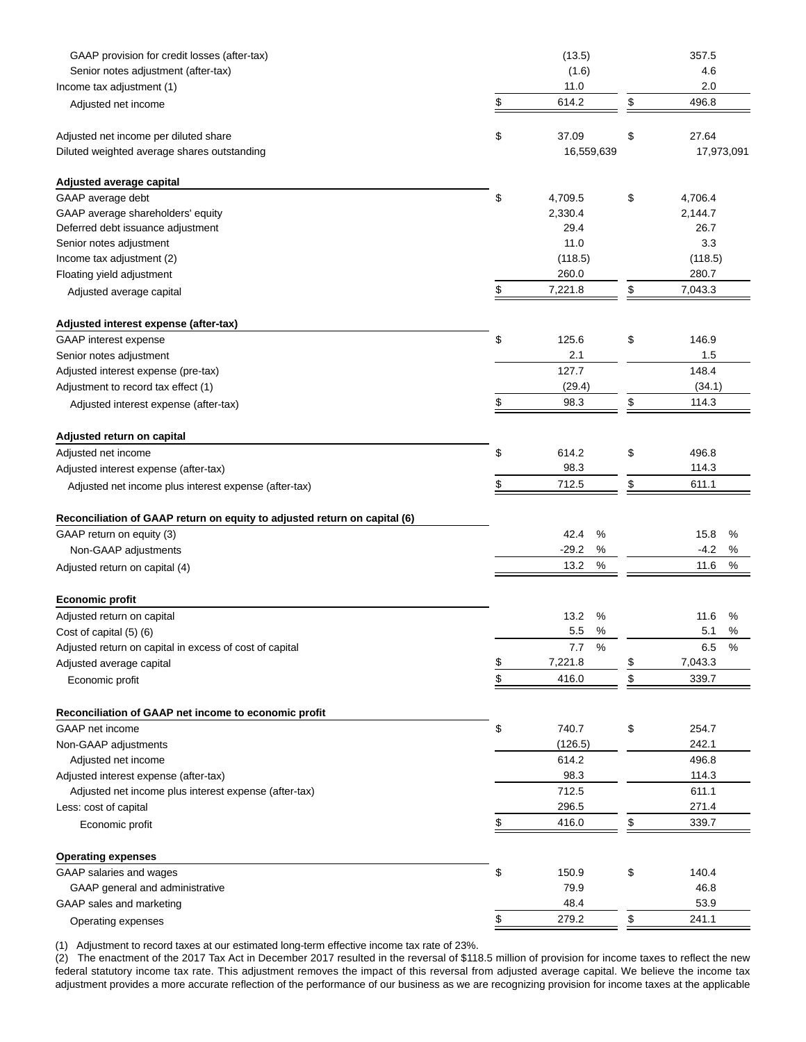| GAAP provision for credit losses (after-tax)                              |               | (13.5)       |               | 357.5       |  |  |
|---------------------------------------------------------------------------|---------------|--------------|---------------|-------------|--|--|
| Senior notes adjustment (after-tax)                                       |               | (1.6)        |               | 4.6         |  |  |
| Income tax adjustment (1)                                                 |               | 11.0         |               | 2.0         |  |  |
| Adjusted net income                                                       | \$            | 614.2        | \$            | 496.8       |  |  |
| Adjusted net income per diluted share                                     | \$            | 37.09        | \$            | 27.64       |  |  |
|                                                                           |               |              |               | 17,973,091  |  |  |
| Diluted weighted average shares outstanding                               |               | 16,559,639   |               |             |  |  |
| Adjusted average capital                                                  |               |              |               |             |  |  |
| GAAP average debt                                                         | \$            | 4,709.5      | \$            | 4,706.4     |  |  |
| GAAP average shareholders' equity                                         |               | 2,330.4      |               | 2,144.7     |  |  |
| Deferred debt issuance adjustment                                         |               | 29.4         |               | 26.7        |  |  |
| Senior notes adjustment                                                   |               | 11.0         |               | 3.3         |  |  |
| Income tax adjustment (2)                                                 |               | (118.5)      |               | (118.5)     |  |  |
| Floating yield adjustment                                                 |               | 260.0        |               | 280.7       |  |  |
| Adjusted average capital                                                  | \$            | 7,221.8      | \$<br>7,043.3 |             |  |  |
| Adjusted interest expense (after-tax)                                     |               |              |               |             |  |  |
| GAAP interest expense                                                     | \$            | 125.6        | \$            | 146.9       |  |  |
| Senior notes adjustment                                                   |               | 2.1          |               | 1.5         |  |  |
| Adjusted interest expense (pre-tax)                                       |               | 127.7        |               | 148.4       |  |  |
| Adjustment to record tax effect (1)                                       |               | (29.4)       |               | (34.1)      |  |  |
| Adjusted interest expense (after-tax)                                     | \$            | 98.3         | \$            | 114.3       |  |  |
|                                                                           |               |              |               |             |  |  |
| Adjusted return on capital                                                |               |              |               |             |  |  |
| Adjusted net income                                                       | \$            | 614.2        | \$            | 496.8       |  |  |
| Adjusted interest expense (after-tax)                                     |               | 98.3         |               | 114.3       |  |  |
| Adjusted net income plus interest expense (after-tax)                     | \$            | 712.5        | \$            | 611.1       |  |  |
|                                                                           |               |              |               |             |  |  |
| Reconciliation of GAAP return on equity to adjusted return on capital (6) |               |              |               |             |  |  |
| GAAP return on equity (3)                                                 |               | 42.4<br>%    |               | 15.8<br>℅   |  |  |
| Non-GAAP adjustments                                                      |               | $-29.2$<br>% |               | $-4.2$<br>% |  |  |
| Adjusted return on capital (4)                                            |               | 13.2<br>%    |               | 11.6<br>%   |  |  |
| <b>Economic profit</b>                                                    |               |              |               |             |  |  |
| Adjusted return on capital                                                |               | 13.2<br>%    |               | 11.6<br>%   |  |  |
| Cost of capital (5) (6)                                                   |               | 5.5<br>%     |               | 5.1<br>%    |  |  |
| Adjusted return on capital in excess of cost of capital                   |               | $\%$<br>7.7  |               | 6.5<br>$\%$ |  |  |
| Adjusted average capital                                                  | $\frac{1}{2}$ | 7,221.8      | \$            | 7,043.3     |  |  |
| Economic profit                                                           | \$            | 416.0        | \$            | 339.7       |  |  |
|                                                                           |               |              |               |             |  |  |
| Reconciliation of GAAP net income to economic profit                      |               |              |               |             |  |  |
| GAAP net income                                                           | \$            | 740.7        | \$            | 254.7       |  |  |
| Non-GAAP adjustments                                                      |               | (126.5)      |               | 242.1       |  |  |
| Adjusted net income                                                       |               | 614.2        |               | 496.8       |  |  |
| Adjusted interest expense (after-tax)                                     |               | 98.3         |               | 114.3       |  |  |
| Adjusted net income plus interest expense (after-tax)                     |               | 712.5        |               | 611.1       |  |  |
| Less: cost of capital                                                     |               | 296.5        |               | 271.4       |  |  |
| Economic profit                                                           | \$            | 416.0        | \$            | 339.7       |  |  |
| <b>Operating expenses</b>                                                 |               |              |               |             |  |  |
| GAAP salaries and wages                                                   | \$            | 150.9        | \$            | 140.4       |  |  |
| GAAP general and administrative                                           |               | 79.9         |               | 46.8        |  |  |
| GAAP sales and marketing                                                  |               | 48.4         |               | 53.9        |  |  |
| Operating expenses                                                        | \$            | 279.2        | \$            | 241.1       |  |  |
|                                                                           |               |              |               |             |  |  |

(1) Adjustment to record taxes at our estimated long-term effective income tax rate of 23%.

(2) The enactment of the 2017 Tax Act in December 2017 resulted in the reversal of \$118.5 million of provision for income taxes to reflect the new federal statutory income tax rate. This adjustment removes the impact of this reversal from adjusted average capital. We believe the income tax adjustment provides a more accurate reflection of the performance of our business as we are recognizing provision for income taxes at the applicable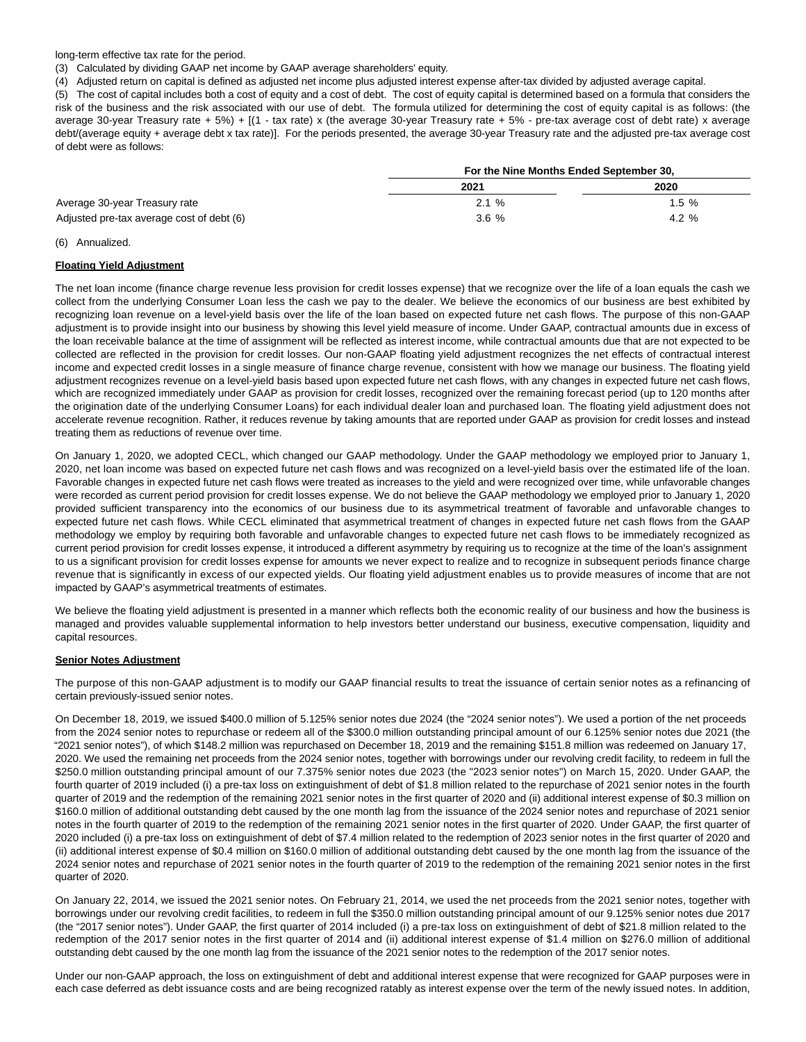long-term effective tax rate for the period.

(3) Calculated by dividing GAAP net income by GAAP average shareholders' equity.

(4) Adjusted return on capital is defined as adjusted net income plus adjusted interest expense after-tax divided by adjusted average capital.

(5) The cost of capital includes both a cost of equity and a cost of debt. The cost of equity capital is determined based on a formula that considers the risk of the business and the risk associated with our use of debt. The formula utilized for determining the cost of equity capital is as follows: (the average 30-year Treasury rate + 5%) + [(1 - tax rate) x (the average 30-year Treasury rate + 5% - pre-tax average cost of debt rate) x average debt/(average equity + average debt x tax rate)]. For the periods presented, the average 30-year Treasury rate and the adjusted pre-tax average cost of debt were as follows:

|                                           |          | For the Nine Months Ended September 30, |  |  |  |
|-------------------------------------------|----------|-----------------------------------------|--|--|--|
|                                           | 2021     | 2020                                    |  |  |  |
| Average 30-year Treasury rate             | $2.1 \%$ | 1.5 $%$                                 |  |  |  |
| Adjusted pre-tax average cost of debt (6) | 3.6 %    | 4.2 $%$                                 |  |  |  |

(6) Annualized.

#### **Floating Yield Adjustment**

The net loan income (finance charge revenue less provision for credit losses expense) that we recognize over the life of a loan equals the cash we collect from the underlying Consumer Loan less the cash we pay to the dealer. We believe the economics of our business are best exhibited by recognizing loan revenue on a level-yield basis over the life of the loan based on expected future net cash flows. The purpose of this non-GAAP adjustment is to provide insight into our business by showing this level yield measure of income. Under GAAP, contractual amounts due in excess of the loan receivable balance at the time of assignment will be reflected as interest income, while contractual amounts due that are not expected to be collected are reflected in the provision for credit losses. Our non-GAAP floating yield adjustment recognizes the net effects of contractual interest income and expected credit losses in a single measure of finance charge revenue, consistent with how we manage our business. The floating yield adjustment recognizes revenue on a level-yield basis based upon expected future net cash flows, with any changes in expected future net cash flows, which are recognized immediately under GAAP as provision for credit losses, recognized over the remaining forecast period (up to 120 months after the origination date of the underlying Consumer Loans) for each individual dealer loan and purchased loan. The floating yield adjustment does not accelerate revenue recognition. Rather, it reduces revenue by taking amounts that are reported under GAAP as provision for credit losses and instead treating them as reductions of revenue over time.

On January 1, 2020, we adopted CECL, which changed our GAAP methodology. Under the GAAP methodology we employed prior to January 1, 2020, net loan income was based on expected future net cash flows and was recognized on a level-yield basis over the estimated life of the loan. Favorable changes in expected future net cash flows were treated as increases to the yield and were recognized over time, while unfavorable changes were recorded as current period provision for credit losses expense. We do not believe the GAAP methodology we employed prior to January 1, 2020 provided sufficient transparency into the economics of our business due to its asymmetrical treatment of favorable and unfavorable changes to expected future net cash flows. While CECL eliminated that asymmetrical treatment of changes in expected future net cash flows from the GAAP methodology we employ by requiring both favorable and unfavorable changes to expected future net cash flows to be immediately recognized as current period provision for credit losses expense, it introduced a different asymmetry by requiring us to recognize at the time of the loan's assignment to us a significant provision for credit losses expense for amounts we never expect to realize and to recognize in subsequent periods finance charge revenue that is significantly in excess of our expected yields. Our floating yield adjustment enables us to provide measures of income that are not impacted by GAAP's asymmetrical treatments of estimates.

We believe the floating yield adjustment is presented in a manner which reflects both the economic reality of our business and how the business is managed and provides valuable supplemental information to help investors better understand our business, executive compensation, liquidity and capital resources.

#### **Senior Notes Adjustment**

The purpose of this non-GAAP adjustment is to modify our GAAP financial results to treat the issuance of certain senior notes as a refinancing of certain previously-issued senior notes.

On December 18, 2019, we issued \$400.0 million of 5.125% senior notes due 2024 (the "2024 senior notes"). We used a portion of the net proceeds from the 2024 senior notes to repurchase or redeem all of the \$300.0 million outstanding principal amount of our 6.125% senior notes due 2021 (the "2021 senior notes"), of which \$148.2 million was repurchased on December 18, 2019 and the remaining \$151.8 million was redeemed on January 17, 2020. We used the remaining net proceeds from the 2024 senior notes, together with borrowings under our revolving credit facility, to redeem in full the \$250.0 million outstanding principal amount of our 7.375% senior notes due 2023 (the "2023 senior notes") on March 15, 2020. Under GAAP, the fourth quarter of 2019 included (i) a pre-tax loss on extinguishment of debt of \$1.8 million related to the repurchase of 2021 senior notes in the fourth quarter of 2019 and the redemption of the remaining 2021 senior notes in the first quarter of 2020 and (ii) additional interest expense of \$0.3 million on \$160.0 million of additional outstanding debt caused by the one month lag from the issuance of the 2024 senior notes and repurchase of 2021 senior notes in the fourth quarter of 2019 to the redemption of the remaining 2021 senior notes in the first quarter of 2020. Under GAAP, the first quarter of 2020 included (i) a pre-tax loss on extinguishment of debt of \$7.4 million related to the redemption of 2023 senior notes in the first quarter of 2020 and (ii) additional interest expense of \$0.4 million on \$160.0 million of additional outstanding debt caused by the one month lag from the issuance of the 2024 senior notes and repurchase of 2021 senior notes in the fourth quarter of 2019 to the redemption of the remaining 2021 senior notes in the first quarter of 2020.

On January 22, 2014, we issued the 2021 senior notes. On February 21, 2014, we used the net proceeds from the 2021 senior notes, together with borrowings under our revolving credit facilities, to redeem in full the \$350.0 million outstanding principal amount of our 9.125% senior notes due 2017 (the "2017 senior notes"). Under GAAP, the first quarter of 2014 included (i) a pre-tax loss on extinguishment of debt of \$21.8 million related to the redemption of the 2017 senior notes in the first quarter of 2014 and (ii) additional interest expense of \$1.4 million on \$276.0 million of additional outstanding debt caused by the one month lag from the issuance of the 2021 senior notes to the redemption of the 2017 senior notes.

Under our non-GAAP approach, the loss on extinguishment of debt and additional interest expense that were recognized for GAAP purposes were in each case deferred as debt issuance costs and are being recognized ratably as interest expense over the term of the newly issued notes. In addition,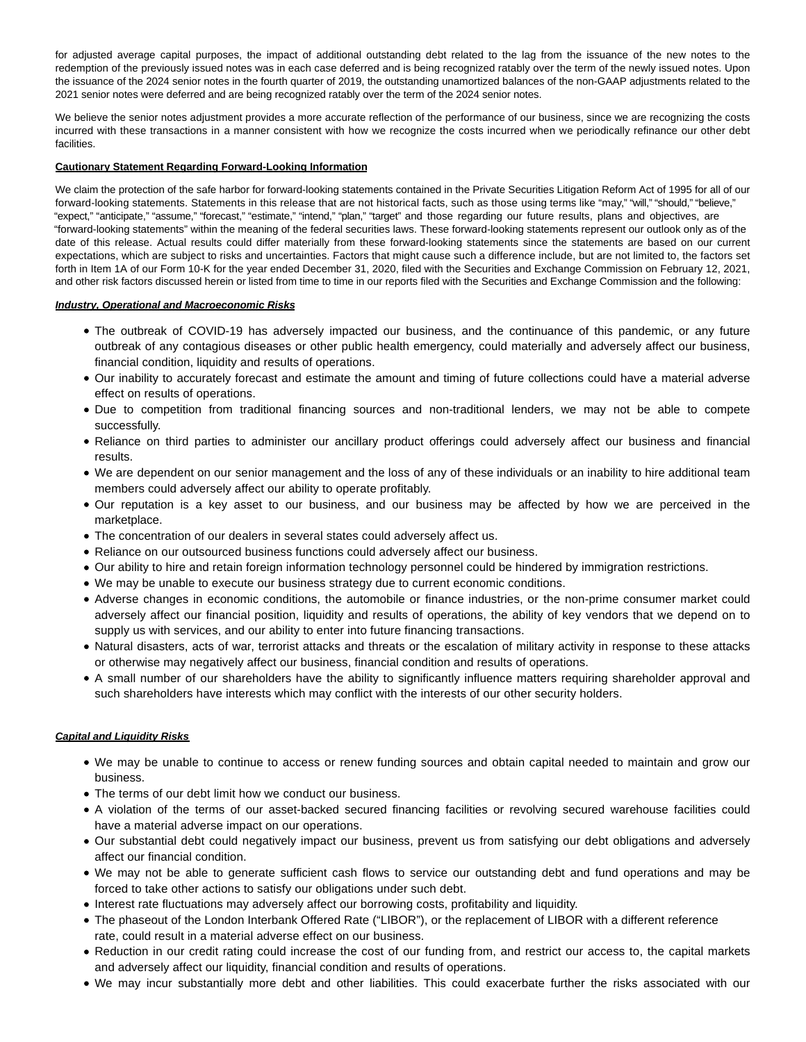for adjusted average capital purposes, the impact of additional outstanding debt related to the lag from the issuance of the new notes to the redemption of the previously issued notes was in each case deferred and is being recognized ratably over the term of the newly issued notes. Upon the issuance of the 2024 senior notes in the fourth quarter of 2019, the outstanding unamortized balances of the non-GAAP adjustments related to the 2021 senior notes were deferred and are being recognized ratably over the term of the 2024 senior notes.

We believe the senior notes adjustment provides a more accurate reflection of the performance of our business, since we are recognizing the costs incurred with these transactions in a manner consistent with how we recognize the costs incurred when we periodically refinance our other debt facilities.

## **Cautionary Statement Regarding Forward-Looking Information**

We claim the protection of the safe harbor for forward-looking statements contained in the Private Securities Litigation Reform Act of 1995 for all of our forward-looking statements. Statements in this release that are not historical facts, such as those using terms like "may," "will," "should," "believe," "expect," "anticipate," "assume," "forecast," "estimate," "intend," "plan," "target" and those regarding our future results, plans and objectives, are "forward-looking statements" within the meaning of the federal securities laws. These forward-looking statements represent our outlook only as of the date of this release. Actual results could differ materially from these forward-looking statements since the statements are based on our current expectations, which are subject to risks and uncertainties. Factors that might cause such a difference include, but are not limited to, the factors set forth in Item 1A of our Form 10-K for the year ended December 31, 2020, filed with the Securities and Exchange Commission on February 12, 2021, and other risk factors discussed herein or listed from time to time in our reports filed with the Securities and Exchange Commission and the following:

#### **Industry, Operational and Macroeconomic Risks**

- The outbreak of COVID-19 has adversely impacted our business, and the continuance of this pandemic, or any future outbreak of any contagious diseases or other public health emergency, could materially and adversely affect our business, financial condition, liquidity and results of operations.
- Our inability to accurately forecast and estimate the amount and timing of future collections could have a material adverse effect on results of operations.
- Due to competition from traditional financing sources and non-traditional lenders, we may not be able to compete successfully.
- Reliance on third parties to administer our ancillary product offerings could adversely affect our business and financial results.
- We are dependent on our senior management and the loss of any of these individuals or an inability to hire additional team members could adversely affect our ability to operate profitably.
- Our reputation is a key asset to our business, and our business may be affected by how we are perceived in the marketplace.
- The concentration of our dealers in several states could adversely affect us.
- Reliance on our outsourced business functions could adversely affect our business.
- Our ability to hire and retain foreign information technology personnel could be hindered by immigration restrictions.
- We may be unable to execute our business strategy due to current economic conditions.
- Adverse changes in economic conditions, the automobile or finance industries, or the non-prime consumer market could adversely affect our financial position, liquidity and results of operations, the ability of key vendors that we depend on to supply us with services, and our ability to enter into future financing transactions.
- Natural disasters, acts of war, terrorist attacks and threats or the escalation of military activity in response to these attacks or otherwise may negatively affect our business, financial condition and results of operations.
- A small number of our shareholders have the ability to significantly influence matters requiring shareholder approval and such shareholders have interests which may conflict with the interests of our other security holders.

## **Capital and Liquidity Risks**

- We may be unable to continue to access or renew funding sources and obtain capital needed to maintain and grow our business.
- The terms of our debt limit how we conduct our business.
- A violation of the terms of our asset-backed secured financing facilities or revolving secured warehouse facilities could have a material adverse impact on our operations.
- Our substantial debt could negatively impact our business, prevent us from satisfying our debt obligations and adversely affect our financial condition.
- We may not be able to generate sufficient cash flows to service our outstanding debt and fund operations and may be forced to take other actions to satisfy our obligations under such debt.
- Interest rate fluctuations may adversely affect our borrowing costs, profitability and liquidity.
- The phaseout of the London Interbank Offered Rate ("LIBOR"), or the replacement of LIBOR with a different reference rate, could result in a material adverse effect on our business.
- Reduction in our credit rating could increase the cost of our funding from, and restrict our access to, the capital markets and adversely affect our liquidity, financial condition and results of operations.
- We may incur substantially more debt and other liabilities. This could exacerbate further the risks associated with our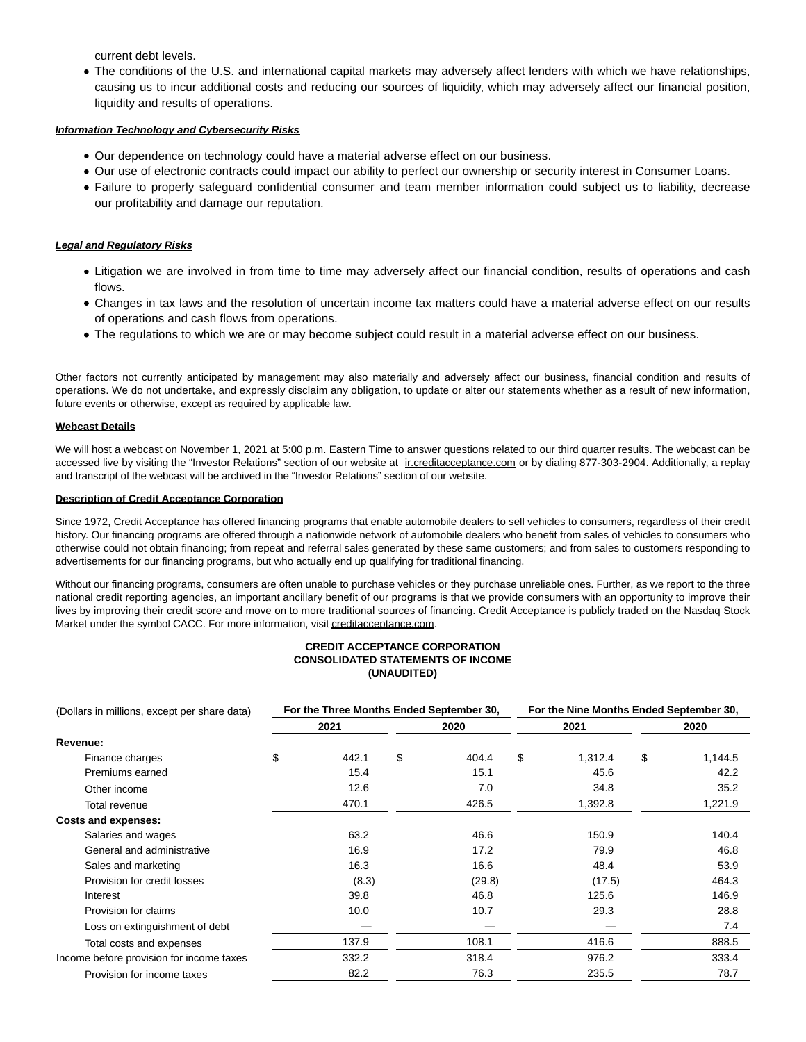current debt levels.

The conditions of the U.S. and international capital markets may adversely affect lenders with which we have relationships, causing us to incur additional costs and reducing our sources of liquidity, which may adversely affect our financial position, liquidity and results of operations.

#### **Information Technology and Cybersecurity Risks**

- Our dependence on technology could have a material adverse effect on our business.
- Our use of electronic contracts could impact our ability to perfect our ownership or security interest in Consumer Loans.
- Failure to properly safeguard confidential consumer and team member information could subject us to liability, decrease our profitability and damage our reputation.

## **Legal and Regulatory Risks**

- Litigation we are involved in from time to time may adversely affect our financial condition, results of operations and cash flows.
- Changes in tax laws and the resolution of uncertain income tax matters could have a material adverse effect on our results of operations and cash flows from operations.
- The regulations to which we are or may become subject could result in a material adverse effect on our business.

Other factors not currently anticipated by management may also materially and adversely affect our business, financial condition and results of operations. We do not undertake, and expressly disclaim any obligation, to update or alter our statements whether as a result of new information, future events or otherwise, except as required by applicable law.

#### **Webcast Details**

We will host a webcast on November 1, 2021 at 5:00 p.m. Eastern Time to answer questions related to our third quarter results. The webcast can be accessed live by visiting the "Investor Relations" section of our website at increditacceptance.com or by dialing 877-303-2904. Additionally, a replay and transcript of the webcast will be archived in the "Investor Relations" section of our website.

#### **Description of Credit Acceptance Corporation**

Since 1972, Credit Acceptance has offered financing programs that enable automobile dealers to sell vehicles to consumers, regardless of their credit history. Our financing programs are offered through a nationwide network of automobile dealers who benefit from sales of vehicles to consumers who otherwise could not obtain financing; from repeat and referral sales generated by these same customers; and from sales to customers responding to advertisements for our financing programs, but who actually end up qualifying for traditional financing.

Without our financing programs, consumers are often unable to purchase vehicles or they purchase unreliable ones. Further, as we report to the three national credit reporting agencies, an important ancillary benefit of our programs is that we provide consumers with an opportunity to improve their lives by improving their credit score and move on to more traditional sources of financing. Credit Acceptance is publicly traded on the Nasdaq Stock Market under the symbol CACC. For more information, visit creditacceptance.com.

## **CREDIT ACCEPTANCE CORPORATION CONSOLIDATED STATEMENTS OF INCOME (UNAUDITED)**

| (Dollars in millions, except per share data) | For the Three Months Ended September 30, |       |      |        |      | For the Nine Months Ended September 30, |      |         |  |
|----------------------------------------------|------------------------------------------|-------|------|--------|------|-----------------------------------------|------|---------|--|
|                                              | 2021                                     |       | 2020 |        | 2021 |                                         | 2020 |         |  |
| Revenue:                                     |                                          |       |      |        |      |                                         |      |         |  |
| Finance charges                              | \$                                       | 442.1 | \$   | 404.4  | \$   | 1,312.4                                 | \$   | 1,144.5 |  |
| Premiums earned                              |                                          | 15.4  |      | 15.1   |      | 45.6                                    |      | 42.2    |  |
| Other income                                 |                                          | 12.6  |      | 7.0    |      | 34.8                                    |      | 35.2    |  |
| Total revenue                                |                                          | 470.1 |      | 426.5  |      | 1,392.8                                 |      | 1,221.9 |  |
| <b>Costs and expenses:</b>                   |                                          |       |      |        |      |                                         |      |         |  |
| Salaries and wages                           |                                          | 63.2  |      | 46.6   |      | 150.9                                   |      | 140.4   |  |
| General and administrative                   |                                          | 16.9  |      | 17.2   |      | 79.9                                    |      | 46.8    |  |
| Sales and marketing                          |                                          | 16.3  |      | 16.6   |      | 48.4                                    |      | 53.9    |  |
| Provision for credit losses                  |                                          | (8.3) |      | (29.8) |      | (17.5)                                  |      | 464.3   |  |
| Interest                                     |                                          | 39.8  |      | 46.8   |      | 125.6                                   |      | 146.9   |  |
| Provision for claims                         |                                          | 10.0  |      | 10.7   |      | 29.3                                    |      | 28.8    |  |
| Loss on extinguishment of debt               |                                          |       |      |        |      |                                         |      | 7.4     |  |
| Total costs and expenses                     |                                          | 137.9 |      | 108.1  |      | 416.6                                   |      | 888.5   |  |
| Income before provision for income taxes     |                                          | 332.2 |      | 318.4  |      | 976.2                                   |      | 333.4   |  |
| Provision for income taxes                   |                                          | 82.2  |      | 76.3   |      | 235.5                                   |      | 78.7    |  |